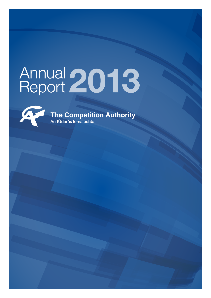# Annual 2013



**The Competition Authority** An tÚdarás lomaíochta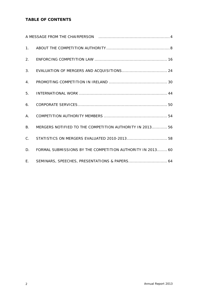# **TABLE OF CONTENTS**

|                | A MESSAGE FROM THE CHAIRPERSON [10] March 1999 MESSAGE FROM THE CHAIRPERSON |  |
|----------------|-----------------------------------------------------------------------------|--|
|                |                                                                             |  |
|                |                                                                             |  |
| 3.             |                                                                             |  |
| 4 <sub>1</sub> |                                                                             |  |
| 5.             |                                                                             |  |
| 6.             |                                                                             |  |
| Α.             |                                                                             |  |
| <b>B.</b>      | MERGERS NOTIFIED TO THE COMPETITION AUTHORITY IN 2013 56                    |  |
| $C_{\cdot}$    | STATISTICS ON MERGERS EVALUATED 2010-2013 58                                |  |
| D.             | FORMAL SUBMISSIONS BY THE COMPETITION AUTHORITY IN 2013 60                  |  |
|                | E. SEMINARS, SPEECHES, PRESENTATIONS & PAPERS 64                            |  |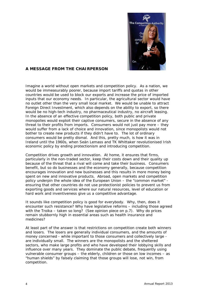

# *A MESSAGE FROM THE CHAIRPERSON*

Imagine a world without open markets and competition policy. As a nation, we would be immeasurably poorer, because import tariffs and quotas in other countries would be used to block our exports and increase the price of imported inputs that our economy needs. In particular, the agricultural sector would have no outlet other than the very small local market. We would be unable to attract Foreign Direct Investment, which also depends on the ability to export, so there would be no high-tech industry, no pharmaceutical industry, no aircraft leasing. In the absence of an effective competition policy, both public and private monopolies would exploit their captive consumers, secure in the absence of any threat to their profits from imports. Consumers would not just pay more – they would suffer from a lack of choice and innovation, since monopolists would not bother to create new products if they didn't have to. The lot of ordinary consumers would be pretty dismal. And this, pretty much, is how it was in Ireland until the 1960s, when Seán Lemass and TK Whittaker revolutionised Irish economic policy by ending protectionism and introducing competition.

Competition drives growth and innovation. At home, it ensures that firms, particularly in the non-traded sector, keep their costs down and their quality up because of the threat that a rival will come and take their business. Consumers benefit, but so do businesses and the economy generally, because competition encourages innovation and new businesses and this results in more money being spent on new and innovative products. Abroad, open markets and competition policy underpin the whole idea of the European Union – the "common market" ensuring that other countries do not use protectionist policies to prevent us from exporting goods and services where our natural resources, level of education or hard work and inventiveness give us a competitive advantage.

It sounds like competition policy is good for everybody. Why, then, does it encounter such resistance? Why have legislative reforms – including those agreed with the Troika – taken so long? (*See opinion piece on p.7*). Why do prices remain stubbornly high in essential areas such as health insurance and medicines?

At least part of the answer is that restrictions on competition create both winners and losers. The losers are generally individual consumers, and the amounts of money concerned - while important to those consumers and collectively large are individually small. The winners are the monopolists and the sheltered sectors, who make large profits and who have developed their lobbying skills and influence over many years. They dominate the public debate, frequently using vulnerable consumer groups – the elderly, children or those on low incomes – as "human shields" by falsely claiming that those groups will lose, not win, from competition.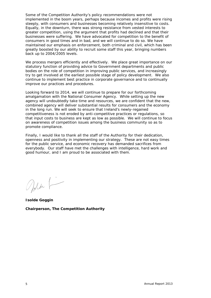Some of the Competition Authority's policy recommendations were not implemented in the boom years, perhaps because incomes and profits were rising steeply, with consumers and businesses becoming relatively insensitive to costs. Equally, in the downturn, there was strong resistance from vested interests to greater competition, using the argument that profits had declined and that their businesses were suffering. We have advocated for competition to the benefit of consumers in good times and in bad, and we will continue to do so. We have maintained our emphasis on enforcement, both criminal and civil, which has been greatly boosted by our ability to recruit some staff this year, bringing numbers back up to 2004/2005 levels.

We process mergers efficiently and effectively. We place great importance on our statutory function of providing advice to Government departments and public bodies on the role of competition in improving public services, and increasingly try to get involved at the earliest possible stage of policy development. We also continue to implement best practice in corporate governance and to continually improve our practices and procedures.

Looking forward to 2014, we will continue to prepare for our forthcoming amalgamation with the National Consumer Agency. While setting up the new agency will undoubtedly take time and resources, we are confident that the new, combined agency will deliver substantial results for consumers and the economy in the long run. We will seek to ensure that Ireland's newly-regained competitiveness is not eroded by anti-competitive practices or regulations, so that input costs to business are kept as low as possible. We will continue to focus on awareness of competition issues among the business community so as to promote compliance.

Finally, I would like to thank all the staff of the Authority for their dedication, openness and positivity in implementing our strategy. These are not easy times for the public service, and economic recovery has demanded sacrifices from everybody. Our staff have met the challenges with intelligence, hard work and good humour, and I am proud to be associated with them.

Med F

**Isolde Goggin Chairperson, The Competition Authority**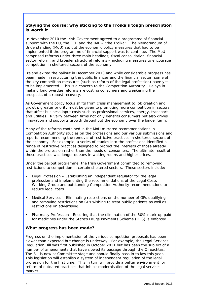# **Staying the course: why sticking to the Troika's tough prescription is worth it**

In November 2010 the Irish Government agreed to a programme of financial support with the EU, the ECB and the IMF – "the Troika". The Memorandum of Understanding (MoU) set out the economic policy measures that had to be implemented if the programme of financial support was to continue. The MoU comprised reforms under three main headings; fiscal consolidation, financial sector reform, and broader structural reforms – including measures to encourage competition in sheltered sectors of the economy.

Ireland exited the bailout in December 2013 and while considerable progress has been made in restructuring the public finances and the financial sector, some of the key competition measures (such as reform of the legal profession) have yet to be implemented. This is a concern to the Competition Authority. Delays in making long overdue reforms are costing consumers and weakening the prospects of a robust recovery.

As Government policy focus shifts from crisis management to job creation and growth, greater priority must be given to promoting more competition in sectors that affect business input costs such as professional services, energy, transport and utilities. Rivalry between firms not only benefits consumers but also drives innovation and supports growth throughout the economy over the longer term.

Many of the reforms contained in the MoU mirrored recommendations in Competition Authority studies on the professions and our various submissions and reports recommending the removal of restrictive practices in sheltered sectors of the economy. For example, a series of studies into the professions identified a range of restrictive practices designed to protect the interests of those already within the profession rather than the needs of consumers. The ultimate result of those practices was longer queues in waiting rooms and higher prices.

Under the bailout programme, the Irish Government committed to removing restrictions to competition in certain sheltered sectors. These sectors include:

- Legal Profession Establishing an independent regulator for the legal profession and implementing the recommendations of the Legal Costs Working Group and outstanding Competition Authority recommendations to reduce legal costs.
- Medical Services Eliminating restrictions on the number of GPs qualifying and removing restrictions on GPs wishing to treat public patients as well as restrictions on advertising.
- Pharmacy Profession Ensuring that the elimination of the 50% mark-up paid for medicines under the State's Drugs Payments Scheme (DPS) is enforced.

# **What progress has been made?**

Progress on the implementation of the various competition proposals has been slower than expected but change is underway. For example, the Legal Services Regulation Bill was first published in October 2011 but has been the subject of a number of amendments that have slowed its passage through the Oireachtas. The Bill is now at Committee stage and should finally pass in to law this year. This legislation will establish a system of independent regulation of the legal profession for the first time. This in turn will provide a better environment for reform of outdated practices that inhibit modernisation of the legal services market.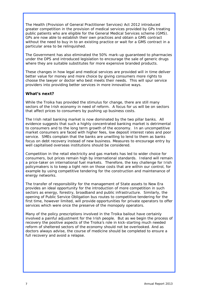The Health (Provision of General Practitioner Services) Act 2012 introduced greater competition in the provision of medical services provided by GPs treating public patients who are eligible for the General Medical Services scheme (GMS). GPs are now able to establish their own practices and obtain a GMS contract without the need to buy in to an existing practice or wait for a GMS contract in a particular area to be relinquished.

The Government has also eliminated the 50% mark-up guaranteed to pharmacies under the DPS and introduced legislation to encourage the sale of generic drugs where they are suitable substitutes for more expensive branded products.

These changes in how legal and medical services are provided will in time deliver better value for money and more choice by giving consumers more rights to choose the lawyer or doctor who best meets their needs. This will spur service providers into providing better services in more innovative ways.

# **What's next?**

While the Troika has provided the stimulus for change, there are still many sectors of the Irish economy in need of reform. A focus for us will be on sectors that affect prices to consumers by pushing up business costs.

The Irish retail banking market is now dominated by the two pillar banks. All evidence suggests that such a highly concentrated banking market is detrimental to consumers and to the long term growth of the economy. In an uncompetitive market consumers are faced with higher fees, low deposit interest rates and poor service. SMEs complain that the banks are unwilling to lend to them as banks focus on debt recovery instead of new business. Measures to encourage entry by well capitalised overseas institutions should be considered.

Competition in the retail electricity and gas markets has led to wider choice for consumers, but prices remain high by international standards. Ireland will remain a price-taker on international fuel markets. Therefore, the key challenge for Irish policymakers is to keep a tight rein on those costs that are within our control, for example by using competitive tendering for the construction and maintenance of energy networks.

The transfer of responsibility for the management of State assets to New Era provides an ideal opportunity for the introduction of more competition in such sectors as energy, forestry, broadband and public infrastructure. Similarly, the opening of Public Service Obligation bus routes to competitive tendering for the first time, however limited, will provide opportunities for private operators to offer services which were once the preserve of the monopoly operators.

Many of the policy prescriptions involved in the Troika bailout have certainly involved a painful adjustment for the Irish people. But as we begin the process of recovery the positive aspects of the Troika's role in kick-starting much needed reform of sheltered sectors of the economy should not be overlooked. And as doctors always advise, the course of medicine should be completed to ensure a full recovery and avoid a relapse.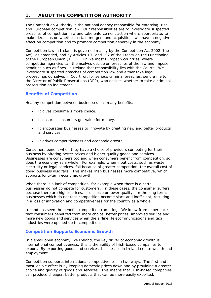# **1. ABOUT THE COMPETITION AUTHORITY**

The Competition Authority is the national agency responsible for enforcing Irish and European competition law. Our responsibilities are to investigate suspected breaches of competition law and take enforcement action where appropriate, to make decisions on whether certain mergers and acquisitions will have a negative effect on competition and to promote competition generally in the economy.

Competition law in Ireland is governed mainly by the Competition Act 2002 (the Act), as amended, and by Articles 101 and 102 of the Treaty on the Functioning of the European Union (TFEU). Unlike most European countries, where competition agencies can themselves decide on breaches of the law and impose penalties such as fines, in Ireland that responsibility lies with the Courts. We investigate suspected breaches of competition law and either take legal proceedings ourselves in Court, or, for serious criminal breaches, send a file to the Director of Public Prosecutions (DPP), who decides whether to take a criminal prosecution on indictment.

# **Benefits of Competition**

Healthy competition between businesses has many benefits.

- It gives consumers more choice.
- It ensures consumers get value for money.
- It encourages businesses to innovate by creating new and better products and services.
- It drives competitiveness and economic growth.

Consumers benefit when they have a choice of providers competing for their business by offering better prices and higher quality goods and services. Businesses are consumers too and when consumers benefit from competition, so does the economy as a whole. For example, when input costs, such as waste, electricity or legal services, fall because of greater competition, the overall cost of doing business also falls. This makes Irish businesses more competitive, which supports long-term economic growth.

When there is a lack of competition, for example when there is a cartel, businesses do not compete for customers. In these cases, the consumer suffers because there are higher prices, less choice or lower quality. In the long term, businesses which do not face competition become slack and inefficient, resulting in a loss of innovation and competitiveness for the country as a whole.

Ireland has seen the benefits competition can bring. We know from experience that consumers benefited from more choice, better prices, improved service and more new goods and services when the airline, telecommunications and taxi industries were opened up to competition.

# **Competition Supports Economic Growth**

In a small open economy like Ireland, the key driver of economic growth is international competitiveness: this is the ability of Irish-based companies to export. By exporting goods and services, businesses in Ireland create wealth and employment.

Competition supports international competitiveness in two ways. The first and most visible effect is by keeping domestic prices down and by providing a greater choice and quality of goods and services. This means that Irish-based companies can produce cheaper, better products that can be more easily exported.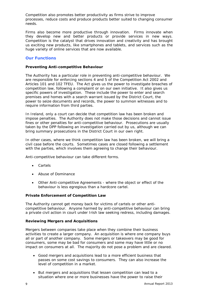Competition also promotes better productivity as firms strive to improve processes, reduce costs and produce products better suited to changing consumer needs.

Firms also become more productive through innovation. Firms innovate when they develop new and better products or provide services in new ways. Competition is the catalyst that drives innovation and creativity and has brought us exciting new products, like smartphones and tablets, and services such as the huge variety of online services that are now available.

# **Our Functions**

#### **Preventing Anti-competitive Behaviour**

The Authority has a particular role in preventing anti-competitive behaviour. We are responsible for enforcing sections 4 and 5 of the Competition Act 2002 and Articles 101 and 102 TFEU. The Act gives us the power to investigate breaches of competition law, following a complaint or on our own initiative. It also gives us specific powers of investigation. These include the power to enter and search premises and homes with a search warrant issued by the District Court, the power to seize documents and records, the power to summon witnesses and to require information from third parties.

In Ireland, only a court can decide that competition law has been broken and impose penalties. The Authority does not make those decisions and cannot issue fines or other penalties for anti-competitive behaviour. Prosecutions are usually taken by the DPP following an investigation carried out by us, although we can bring summary prosecutions in the District Court in our own right.

In other cases, where we think competition law has been broken, we will bring a civil case before the courts. Sometimes cases are closed following a settlement with the parties, which involves them agreeing to change their behaviour.

Anti-competitive behaviour can take different forms.

- *Cartels*
- *Abuse of Dominance*
- *Other Anti-competitive Agreements where the object or effect of the behaviour is less egregious than a hardcore cartel.*

#### **Private Enforcement of Competition Law**

The Authority cannot get money back for victims of cartels or other anticompetitive behaviour. Anyone harmed by anti-competitive behaviour can bring a private civil action in court under Irish law seeking redress, including damages.

#### **Reviewing Mergers and Acquisitions**

Mergers between companies take place when they combine their business activities to create a larger company. An acquisition is where one company buys all or part of another company. Some mergers or takeovers may be good for consumers, some may be bad for consumers and some may have little or no impact on consumers at all. The majority do not pose a problem and are cleared.

- Good mergers and acquisitions lead to a more efficient business that passes on some cost savings to consumers. They can also increase the level of competition in a market.
- But mergers and acquisitions that lessen competition can lead to a situation where one or more businesses have the power to raise their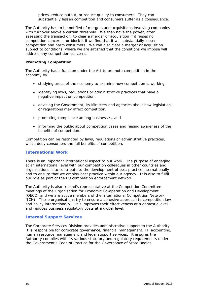prices, reduce output, or reduce quality to consumers. They can substantially lessen competition and consumers suffer as a consequence.

The Authority has to be notified of mergers and acquisitions involving companies with turnover above a certain threshold. We then have the power, after assessing the transaction, to clear a merger or acquisition if it raises no competition concerns, or block it if we find that it will substantially lessen competition and harm consumers. We can also clear a merger or acquisition subject to conditions, where we are satisfied that the conditions we impose will address any competition concerns.

#### **Promoting Competition**

The Authority has a function under the Act to promote competition in the economy by

- studying areas of the economy to examine how competition is working,
- identifying laws, regulations or administrative practices that have a negative impact on competition,
- advising the Government, its Ministers and agencies about how legislation or regulations may affect competition,
- promoting compliance among businesses, and
- informing the public about competition cases and raising awareness of the benefits of competition.

Competition can be restricted by laws, regulations or administrative practices, which deny consumers the full benefits of competition.

# **International Work**

There is an important international aspect to our work. The purpose of engaging at an international level with our competition colleagues in other countries and organisations is to contribute to the development of best practice internationally and to ensure that we employ best practice within our agency. It is also to fulfil our role as part of the EU competition enforcement network.

The Authority is also Ireland's representative at the Competition Committee meetings of the Organisation for Economic Co-operation and Development (OECD) and we are active members of the International Competition Network (ICN). These organisations try to ensure a cohesive approach to competition law and policy internationally. This improves their effectiveness at a domestic level and reduces business regulatory costs at a global level.

# **Internal Support Services**

The Corporate Services Division provides administrative support to the Authority. It is responsible for corporate governance, financial management, IT, accounting, human resource management and legal support services. It ensures the Authority complies with its various statutory and regulatory requirements under the Government's Code of Practice for the Governance of State Bodies.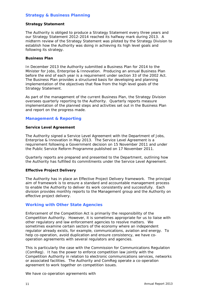# **Strategy & Business Planning**

#### **Strategy Statement**

The Authority is obliged to produce a Strategy Statement every three years and our Strategy Statement 2012-2014 reached its halfway mark during 2013. A midterm review of the Strategy Statement was piloted by the Strategy Division to establish how the Authority was doing in achieving its high level goals and following its strategy.

#### **Business Plan**

In December 2013 the Authority submitted a Business Plan for 2014 to the Minister for Jobs, Enterprise & Innovation. Producing an annual Business Plan before the end of each year is a requirement under section 33 of the 2002 Act. The Business Plan provides a structured basis for developing and planning implementation of the objectives that flow from the high level goals of the Strategy Statement.

As part of the management of the current Business Plan, the Strategy Division oversees quarterly reporting to the Authority. Quarterly reports measure implementation of the planned steps and activities set out in the Business Plan and report on the progress made.

# **Management & Reporting**

# **Service Level Agreement**

The Authority signed a Service Level Agreement with the Department of Jobs, Enterprise & Innovation in May 2013. The Service Level Agreement is a requirement following a Government decision on 15 November 2011 and under the Public Service Reform Programme published on 17 November 2011.

Quarterly reports are prepared and presented to the Department, outlining how the Authority has fulfilled its commitments under the Service Level Agreement.

# **Effective Project Delivery**

The Authority has in place an Effective Project Delivery framework. The principal aim of framework is to ensure a standard and accountable management process to enable the Authority to deliver its work consistently and successfully. Each division provides monthly reports to the Management group and the Authority on effective project delivery.

# **Working with Other State Agencies**

Enforcement of the Competition Act is primarily the responsibility of the Competition Authority. However, it is sometimes appropriate for us to liaise with other regulatory and law enforcement agencies to resolve matters. We sometimes examine certain sectors of the economy where an independent regulator already exists, for example, communications, aviation and energy. To help co-operation, avoid duplication and ensure consistency, we have cooperation agreements with several regulators and agencies.

This is particularly the case with the Commission for Communications Regulation (ComReg). It has the power to enforce competition law jointly with the Competition Authority in relation to electronic communications services, networks or associated facilities. The Authority and ComReg operate a co-operation agreement to work together on competition issues.

We have co-operation agreements with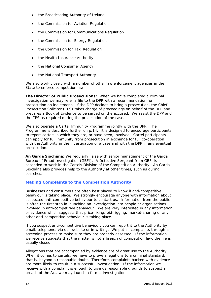- the Broadcasting Authority of Ireland
- the Commission for Aviation Regulation
- the Commission for Communications Regulation
- the Commission for Energy Regulation
- the Commission for Taxi Regulation
- the Health Insurance Authority
- the National Consumer Agency
- the National Transport Authority

We also work closely with a number of other law enforcement agencies in the State to enforce competition law.

**The Director of Public Prosecutions:** When we have completed a criminal investigation we may refer a file to the DPP with a recommendation for prosecution on indictment. If the DPP decides to bring a prosecution, the Chief Prosecution Solicitor (CPS) takes charge of proceedings on behalf of the DPP and prepares a Book of Evidence to be served on the accused. We assist the DPP and the CPS as required during the prosecution of the case.

We also operate a *Cartel Immunity Programme* jointly with the DPP. The Programme is described further on p.14. It is designed to encourage participants to report cartels in which they are, or have been, involved. Cartel participants can apply for full immunity from prosecution in exchange for full co-operation with the Authority in the investigation of a case and with the DPP in any eventual prosecution.

**An Garda Síochána:** We regularly liaise with senior management of the Garda Bureau of Fraud Investigation (GBFI). A Detective Sergeant from GBFI is seconded to work in the Cartels Division of the Competition Authority. An Garda Síochána also provides help to the Authority at other times, such as during searches.

# **Making Complaints to the Competition Authority**

Businesses and consumers are often best placed to know if anti-competitive behaviour is taking place. We strongly encourage anyone with information about suspected anti-competitive behaviour to contact us. Information from the public is often the first step in launching an investigation into people or organisations involved in anti-competitive behaviour. We are very interested in any information or evidence which suggests that price-fixing, bid-rigging, market-sharing or any other anti-competitive behaviour is taking place.

If you suspect anti-competitive behaviour, you can report it to the Authority by email, telephone, via our website or in writing. We put all complaints through a screening process to make sure they are properly assessed. If the information we receive suggests that the matter is not a breach of competition law, the file is usually closed.

Allegations that are accompanied by evidence are of great use to the Authority. When it comes to cartels, we have to prove allegations to a criminal standard, that is, *beyond a reasonable doubt*. Therefore, complaints backed with evidence are more likely to result in a successful investigation. If the information we receive with a complaint is enough to give us reasonable grounds to suspect a breach of the Act, we may launch a formal investigation.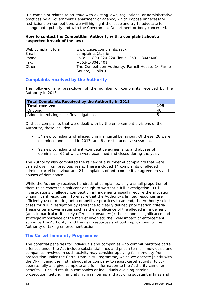If a complaint relates to an issue with existing laws, regulations, or administrative practices by a Government Department or agency, which impose unnecessary restrictions on competition, we will highlight the issue and try to advocate for change both publicly and with the Government Department or body concerned.

## **How to contact the Competition Authority with a complaint about a suspected breach of the law:**

| Web complaint form: | www.tca.ie/complaints.aspx                           |
|---------------------|------------------------------------------------------|
| Email:              | complaints@tca.ie                                    |
| Phone:              | LoCall: 1890 220 224 (intl.: +353-1-8045400)         |
| Fax:                | $+353 - 1 - 8045401$                                 |
| Other:              | The Competition Authority, Parnell House, 14 Parnell |
|                     | Square, Dublin 1                                     |

# **Complaints received by the Authority**

The following is a breakdown of the number of complaints received by the Authority in 2013.

| Total Complaints Received by the Authority in 2013 |     |  |
|----------------------------------------------------|-----|--|
| Total received                                     | 195 |  |
| Ongoing                                            | 46  |  |
| Added to existing cases/investigations             |     |  |

Of those complaints that were dealt with by the enforcement divisions of the Authority, these included:

- 34 new complaints of alleged criminal cartel behaviour. Of these, 26 were examined and closed in 2013, and 8 are still under assessment.
- 92 new complaints of anti-competitive agreements and abuses of dominance, 65 of which were examined and closed during the year.

The Authority also completed the review of a number of complaints that were carried over from previous years. These included 14 complaints of alleged criminal cartel behaviour and 24 complaints of anti-competitive agreements and abuses of dominance.

While the Authority receives hundreds of complaints, only a small proportion of them raise concerns significant enough to warrant a full investigation. Full investigations of alleged competition infringements usually require the allocation of significant resources. To ensure that the Authority's limited resources are efficiently used to bring anti-competitive practices to an end, the Authority selects cases for full investigation by reference to clearly defined prioritisation criteria. These criteria cover issues such as the significance of the alleged infringement (and, in particular, its likely effect on consumers); the economic significance and strategic importance of the market involved; the likely impact of enforcement action by the Authority; and the risk, resources and cost implications for the Authority of taking enforcement action.

#### **The Cartel Immunity Programme**

The potential penalties for individuals and companies who commit hardcore cartel offences under the Act include substantial fines and prison terms. Individuals and companies involved in such activity may consider applying for immunity from prosecution under the *Cartel Immunity Programme*, which we operate jointly with the DPP. Being the first individual or company to report cartel activity, to cooperate fully and give complete and full information to the Authority can offer benefits. It could result in companies or individuals avoiding criminal prosecution, getting immunity from jail terms and avoiding substantial fines and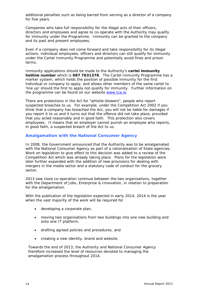additional penalties such as being barred from serving as a director of a company for five years.

Companies who take full responsibility for the illegal acts of their officers, directors and employees and agree to co-operate with the Authority may qualify for immunity under the Programme. Immunity can be granted to the company and its past and present employees.

Even if a company does not come forward and take responsibility for its illegal actions, individual employees, officers and directors can still qualify for immunity under the *Cartel Immunity Programme* and potentially avoid fines and prison terms.

Immunity applications should be made to the Authority's **cartel immunity hotline number** which is **087 7631378**. The *Cartel Immunity Programme* has a marker system, which holds the position of possible immunity for the first individual or company to apply, and allows other members of the same cartel to 'line up' should the first to apply not qualify for immunity. Further information on the programme can be found on our website www.tca.ie.

There are protections in the Act for "whistle-blowers", people who report suspected breaches to us. For example, under the Competition Act 2002 if you think that a company has breached the Act, you will not be liable for damages if you report it to us and it turns out that the offence did not take place, provided that you acted reasonably and in good faith. This protection also covers employees. It means that an employer cannot punish an employee who reports, in good faith, a suspected breach of the Act to us.

#### **Amalgamation with the National Consumer Agency**

In 2008, the Government announced that the Authority was to be amalgamated with the National Consumer Agency as part of a rationalisation of State agencies. Work on legislation to give effect to this decision was added to a review of the Competition Act which was already taking place. Plans for the legislation were later further expanded with the addition of new provisions for dealing with mergers in the media sector and a statutory code of conduct for the grocery sector.

2013 saw close co-operation continue between the two organisations, together with the Department of Jobs, Enterprise & Innovation, in relation to preparation for the amalgamation.

With the publication of the legislation expected in early 2014, 2014 is the year when the vast majority of the work will be required for

- developing a corporate plan,
- moving two organisations from two buildings into one new building and onto one IT platform,
- drafting agreed policies and procedures, and
- creating a new identity, brand and website.

Towards the end of 2013, the Authority and National Consumer Agency therefore increased the level of resources devoted to managing the amalgamation process throughout 2014.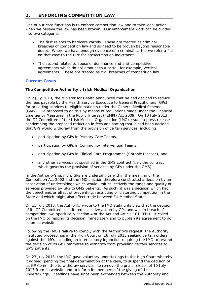# **2. ENFORCING COMPETITION LAW**

One of our core functions is to enforce competition law and to take legal action when we believe the law has been broken. Our enforcement work can be divided into two categories.

- The first relates to hardcore cartels. These are treated as criminal breaches of competition law and so need to be proven beyond reasonable doubt. Where we have enough evidence of a criminal cartel, we refer a file on that case to the DPP for prosecution on indictment.
- The second relates to abuse of dominance and anti-competitive agreements which do not amount to a cartel, for example, vertical agreements. These are treated as civil breaches of competition law.

# **Current Cases**

#### **The Competition Authority v Irish Medical Organisation**

On 2 July 2013, the Minister for Health announced that he had decided to reduce the fees payable by the Health Service Executive to General Practitioners (GPs) for providing services to eligible patients under the General Medical Scheme (GMS). He proposed to do this by means of regulations made under the Financial Emergency Measures in the Public Interest (FEMPI) Act 2009. On 10 July 2013, the GP Committee of the Irish Medical Organisation (IMO) issued a press release condemning the proposed reduction in fees and stating that it had been decided that GPs would withdraw from the provision of certain services, including

- participation by GPs in Primary Care Teams,
- participation by GPs in Community Intervention Teams,
- participation by GPs in Clinical Care Programmes (Chronic Disease), and
- any other services not specified in the GMS contract (i.e., the contract which governs the provision of services by GPs under the GMS).

In the Authority's opinion, GPs are undertakings within the meaning of the Competition Act 2002 and the IMO's action therefore constituted a decision by an association of undertakings which would limit collectively the range and quality of services provided by GPs to GMS patients. As such, it was a decision which had the object and/or effect of preventing, restricting or distorting competition in the State and which might also affect trade between EU Member States.

On 11 July 2013, the Authority wrote to the IMO stating its view that the decision of its GP Committee constituted collective action by GPs and was in breach of competition law, specifically section 4 of the Act and Article 101 TFEU. It called on the IMO to rescind its decision immediately and to publish its agreement to do so on its website.

Following the IMO's failure to comply with the Authority's request, the Authority instituted proceedings in the High Court on 16 July 2013 seeking certain orders against the IMO, including an interlocutory injunction requiring the IMO to rescind the decision of its GP Committee to withdraw from providing certain services to GMS patients.

On 23 July 2013, the IMO gave voluntary undertakings to the High Court whereby it agreed, pending the final determination of the case, to suspend the decision of its GP Committee to withdraw services; to remove the press release of 10 July 2013 from its website and to inform its members of the giving of the undertakings. Pleadings have since been exchanged between the Authority and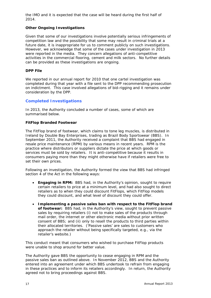the IMO and it is expected that the case will be heard during the first half of 2014.

#### **Other Ongoing Investigations**

Given that some of our investigations involve potentially serious infringements of competition law and the possibility that some may result in criminal trials at a future date, it is inappropriate for us to comment publicly on such investigations. However, we acknowledge that some of the cases under investigation in 2013 were reported in the media. They concern allegations of anti-competitive activities in the commercial flooring, cement and milk sectors. No further details can be provided as these investigations are ongoing.

#### **DPP File**

We reported in our annual report for 2010 that one cartel investigation was completed during that year with a file sent to the DPP recommending prosecution on indictment. This case involved allegations of bid-rigging and it remains under consideration by the DPP.

# **Completed Investigations**

In 2013, the Authority concluded a number of cases, some of which are summarised below.

#### **FitFlop Branded Footwear**

The FitFlop brand of footwear, which claims to tone leg muscles, is distributed in Ireland by Double Bay Enterprises, trading as Brazil Body Sportswear (BBS). In September 2011, the Authority received a complaint that BBS had engaged in resale price maintenance (RPM) by various means in recent years. RPM is the practice where distributors or suppliers dictate the price at which goods or services must be sold by retailers. It is anti-competitive because it results in consumers paying more than they might otherwise have if retailers were free to set their own prices.

Following an investigation, the Authority formed the view that BBS had infringed section 4 of the Act in the following ways:

- **Engaging in RPM:** BBS had, in the Authority's opinion, sought to require certain retailers to price at a minimum level, and had also sought to direct retailers as to when they could discount FitFlops, which FitFlop models they could discount, and what level of discount they could offer.
- **Implementing a passive sales ban with respect to the FitFlop brand of footwear:** BBS had, in the Authority's view, sought to prevent passive sales by requiring retailers (i) not to make sales of the products through mail order, the internet or other electronic media without prior written consent of BBS; and (ii) only to resell the products to third parties within their allocated territories. ('Passive sales' are sales to customers who approach the retailer without being specifically targeted, e.g., via the retailer's website.)

This conduct meant that consumers who wished to purchase FitFlop products were unable to shop around for better value.

The Authority gave BBS the opportunity to cease engaging in RPM and the passive sales ban as outlined above. In November 2012, BBS and the Authority entered into an agreement under which BBS undertook to refrain from engaging in these practices and to inform its retailers accordingly. In return, the Authority agreed not to bring proceedings against BBS.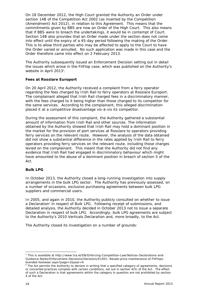On 18 December 2012, the High Court granted the Authority an Order under section 14B of the Competition Act 2002 (as inserted by the Competition (Amendment) Act 2012), in relation to this Agreement. This means that the commitments given by BBS are now an Order of the High Court. This also means that if BBS were to breach the undertakings, it would be in contempt of Court. Section 14B also provides that an Order made under the section does not come into effect until the expiry of a 45-day period following the making of the Order. This is to allow third parties who may be affected to apply to the Court to have the Order varied or annulled. No such application was made in this case and the Order therefore came into effect on 2 February 2013.

The Authority subsequently issued an Enforcement Decision setting out in detail the issues which arose in the FitFlop case, which was published on the Authority's website in April 2013<sup>1</sup>.

#### **Fees at Rosslare Europort**

On 20 April 2012, the Authority received a complaint from a ferry operator regarding the fees charged by Irish Rail to ferry operators at Rosslare Europort. The complainant alleged that Irish Rail charged fees in a discriminatory manner, with the fees charged to it being higher than those charged to its competitor for the same services. According to the complainant, this alleged discrimination placed it at a competitive disadvantage vis-à-vis its competitor.

During the assessment of this complaint, the Authority gathered a substantial amount of information from Irish Rail and other sources. The information obtained by the Authority showed that Irish Rail may hold a dominant position in the market for the provision of port services at Rosslare to operators providing ferry services on the relevant route. However, the analysis of the data obtained did not show a substantial difference in the rates applied by Irish Rail to ferry operators providing ferry services on the relevant route, including those charges levied on the complainant. This meant that the Authority did not find any evidence that Irish Rail had engaged in discriminatory behaviour which might have amounted to the abuse of a dominant position in breach of section 5 of the Act.

#### **Bulk LPG**

In October 2013, the Authority closed a long-running investigation into supply arrangements in the bulk LPG sector. The Authority has previously assessed, on a number of occasions, exclusive purchasing agreements between bulk LPG suppliers and commercial users.

In 2005, and again in 2010, the Authority publicly consulted on whether to issue a Declaration<sup>2</sup> in respect of Bulk LPG. Following receipt of submissions, and detailed analysis, the Authority decided in October 2013 not to issue a separate Declaration in respect of bulk LPG. Accordingly, bulk LPG agreements are subject to the Authority's 2010 Verticals Declaration and, more broadly, to the Act.

The Authority closed its investigation on a number of grounds:

-

<sup>1</sup> This is available at http://www.tca.ie/EN/Enforcing-Competition-Law/Notices-Declarations-and-Guidance-Notes/Enforcement-Decisions/Decisions/E1301--Resale-price-maintenance-of-FitFlopsbranded-footwear.aspx?page=1&year=0

 $2$  The Act permits the Authority to declare in writing that a specified category of agreements, decisions or concerted practices complies with certain conditions, set out in section 4(5) of the Act. The effect of such a Declaration is that agreements within the category in question are not prohibited by section 4 of the Act.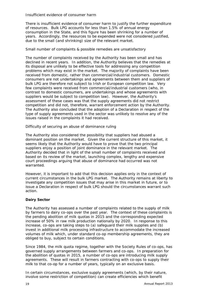#### *Insufficient evidence of consumer harm*

There is insufficient evidence of consumer harm to justify the further expenditure of resources. Bulk LPG accounts for less than 1.5% of annual energy consumption in the State, and this figure has been shrinking for a number of years. Accordingly, the resources to be expended were not considered justified, due to the small (and shrinking) size of the relevant market.

#### *Small number of complaints & possible remedies are unsatisfactory*

The number of complaints received by the Authority has been small and has declined in recent years. In addition, the Authority believes that the remedies at its disposal are unlikely to be effective tools for addressing any competition problems which may exist in the market. The majority of complaints have been received from domestic, rather than commercial/industrial customers. Domestic consumers are not undertakings and agreements between them and suppliers of bulk LPG are therefore not subject to Irish or European competition law. Very few complaints were received from commercial/industrial customers (who, in contrast to domestic consumers, are undertakings and whose agreements with suppliers would be subject to competition law). However, the Authority's assessment of these cases was that the supply agreements did not restrict competition and did not, therefore, warrant enforcement action by the Authority. The Authority also concluded that the adoption of a Declaration in respect of the type of supply agreements used in the sector was unlikely to resolve any of the issues raised in the complaints it had received.

#### *Difficulty of securing an abuse of dominance ruling*

The Authority also considered the possibility that suppliers had abused a dominant position on the market. Given the current structure of this market, it seems likely that the Authority would have to prove that the two principal suppliers enjoy a position of joint dominance in the relevant market. The Authority decided that in light of the small number of complaints received and based on its review of the market, launching complex, lengthy and expensive court proceedings arguing that abuse of dominance had occurred was not warranted.

However, it is important to add that this decision applies only in the context of current circumstances in the bulk LPG market. The Authority remains at liberty to investigate any competition issues that may arise in this market in future, or to issue a Declaration in respect of bulk LPG should the circumstances warrant such action.

# **Dairy Sector**

The Authority has assessed a number of complaints related to the supply of milk by farmers to dairy co-ops over the past year. The context of these complaints is the pending abolition of milk quotas in 2015 and the corresponding expected increase of 50% in raw milk production nationally by 2020. In response to this increase, co-ops are taking steps to (a) safeguard their milk supplies and (b) invest in additional milk processing infrastructure to accommodate the increased volumes of milk which, under standard co-op membership agreements, they are obliged to buy, subject to certain conditions.

Since 1984, the milk quota regime, together with the Society Rules of co-ops, has governed supply arrangements between farmers and co-ops. In preparation for the abolition of quotas in 2015, a number of co-ops are introducing milk supply agreements. These will result in farmers contracting with co-ops to supply their milk to that co-op for a number of years, typically on an exclusive basis.

In certain circumstances, exclusive supply agreements (which, by their nature, involve some restriction of competition) can create efficiencies which benefit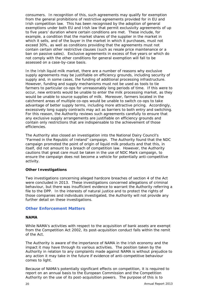consumers. In recognition of this, such agreements may qualify for exemption from the general prohibitions of restrictive agreements provided for in EU and Irish competition law. This has been recognised by the adoption of general exemptions under both EU and Irish law that permit exclusivity agreements of up to five years' duration where certain conditions are met. These include, for example, a condition that the market shares of the supplier in the market in which it sells, and of the buyer in the market in which it purchases, must not exceed 30%, as well as conditions providing that the agreements must not contain certain other restrictive clauses (such as resale price maintenance or a ban on passive sales). Exclusive agreements in excess of five years or which do not comply with the other conditions for general exemption will fall to be assessed on a case-by-case basis.

In the Irish liquid milk market, there are a number of reasons why exclusive supply agreements may be justifiable on efficiency grounds, including security of supply and, in some cases, the funding of additional processing infrastructure. However, funding and supply mechanisms must not be used as tools to tie farmers to particular co-ops for unreasonably long periods of time. If this were to occur, new entrants would be unable to enter the milk processing market, as they would be unable to source supplies of milk. Moreover, farmers located in the catchment areas of multiple co-ops would be unable to switch co-ops to take advantage of better supply terms, including more attractive pricing. Accordingly, excessively long supply contracts may act as barriers to both entry and switching. For this reason, the Authority reviews such agreements carefully to ensure that any exclusive supply arrangements are justifiable on efficiency grounds and contain only restrictions that are indispensable to the achievement of those efficiencies.

The Authority also closed an investigation into the National Dairy Council's "Farmed in the Republic of Ireland" campaign. The Authority found that the NDC campaign promoted the point of origin of liquid milk products and that this, in itself, did not amount to a breach of competition law. However, the Authority cautions that great care must be taken in the use of NDC Mark campaign, to ensure the campaign does not become a vehicle for potentially anti-competitive activity.

#### **Other Investigations**

Two investigations concerning alleged hardcore breaches of section 4 of the Act were concluded in 2013. These investigations concerned allegations of criminal behaviour, but there was insufficient evidence to warrant the Authority referring a file to the DPP. In the interests of natural justice and to protect the rights of those companies and individuals investigated, the Authority will not provide any further detail on these investigations.

# **Other Enforcement Matters**

#### **NAMA**

While NAMA's activities with respect to the acquisition of bank assets are exempt from the Competition Act 2002, its post-acquisition conduct falls within the remit of the Act.

The Authority is aware of the importance of NAMA in the Irish economy and the impact it may have through its various activities. The position taken by the Authority in relation to any complaints made against NAMA is without prejudice to any action it may take in the future if evidence of anti-competitive behaviour comes to light.

Because of NAMA's potentially significant effects on competition, it is required to report on an annual basis to the European Commission and the Competition Authority on the use of its post-acquisition powers. The purpose of this is to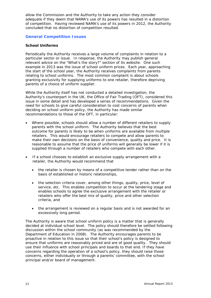allow the Commission and the Authority to take any action they consider adequate if they deem that NAMA's use of its powers has resulted in a distortion of competition. Having reviewed NAMA's use of its powers in 2012, the Authority concluded that no distortion of competition resulted.

### **General Competition Issues**

#### **School Uniforms**

Periodically the Authority receives a large volume of complaints in relation to a particular sector or issue. In response, the Authority may publish general relevant advice on the "What's the story?" section of its website. One such example in 2013 was the issue of school uniform prices. Each year, approaching the start of the school year, the Authority receives complaints from parents relating to school uniforms. The most common complaint is about schools granting exclusivity for supplying uniforms to one retailer, therefore depriving parents of a choice of uniform supplier.

While the Authority itself has not conducted a detailed investigation, the Authority's counterpart in the UK, the Office of Fair Trading (OFT), considered this issue in some detail and has developed a series of recommendations. Given the need for schools to give careful consideration to cost concerns of parents when deciding on school uniform policy, the Authority has made similar recommendations to those of the OFT, in particular:

- Where possible, schools should allow a number of different retailers to supply parents with the school uniform. The Authority believes that the best outcome for parents is likely to be when uniforms are available from multiple retailers. This would encourage retailers to compete and allow parents to make their own decisions on the basis of convenience, quality and price. It is reasonable to assume that the price of uniforms will generally be lower if it is supplied through a number of retailers who compete with each other.
- If a school chooses to establish an exclusive supply arrangement with a retailer, the Authority would recommend that
	- the retailer is chosen by means of a competitive tender rather than on the basis of established or historic relationships,
	- the selection criteria cover, among other things, quality, price, level of service, etc. This enables competition to occur at the tendering stage and enables schools to agree the exclusive arrangement with the retailer or retailers who offer the best mix of quality, price and other selection criteria, and
	- the arrangement is reviewed on a regular basis and is not awarded for an excessively long period.

The Authority is aware that school uniform policy is a matter that is generally decided at individual school level. The policy should therefore be settled following discussion within the school community (as was recommended by the Department of Education in 2008). The Authority encourages parents to be proactive in relation to this issue so that their school's policy is designed to ensure that uniforms are reasonably priced and are of good quality. They should use their influence with school principals and boards to that end. If they have concerns regarding the operation of a school's policy, they should raise those concerns, either individually or through a parents' committee, with the school principal and/or board of management.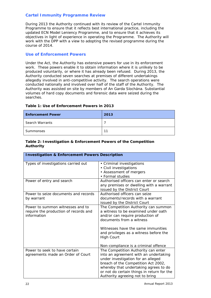# **Cartel Immunity Programme Review**

During 2013 the Authority continued with its review of the Cartel Immunity Programme to ensure that it reflects best international practice, including the updated ECN Model Leniency Programme, and to ensure that it achieves its objectives in light of experience in operating the Programme. The Authority will work with the DPP with a view to adopting the revised programme during the course of 2014.

## **Use of Enforcement Powers**

Under the Act, the Authority has extensive powers for use in its enforcement work. These powers enable it to obtain information where it is unlikely to be produced voluntarily, or where it has already been refused. During 2013, the Authority conducted seven searches at premises of different undertakings allegedly involved in anti-competitive activity. The search operations were conducted nationally and involved over half of the staff of the Authority. The Authority was assisted on site by members of An Garda Síochána. Substantial volumes of hard copy documents and forensic data were seized during the searches.

| <b>Enforcement Power</b> | 2013 |
|--------------------------|------|
| <b>Search Warrants</b>   |      |
| Summonses                | 11   |

# **Table 1: Use of Enforcement Powers in 2013**

# **Table 2: Investigation & Enforcement Powers of the Competition Authority**

| <b>Investigation &amp; Enforcement Powers Description</b>                                |                                                                                                                                                                                                                                                                                          |  |  |
|------------------------------------------------------------------------------------------|------------------------------------------------------------------------------------------------------------------------------------------------------------------------------------------------------------------------------------------------------------------------------------------|--|--|
| Types of investigations carried out                                                      | • Criminal investigations<br>• Civil investigations<br>• Assessment of mergers<br>• Formal studies                                                                                                                                                                                       |  |  |
| Power of entry and search                                                                | Authorised officers can enter or search<br>any premises or dwelling with a warrant<br>issued by the District Court                                                                                                                                                                       |  |  |
| Power to seize documents and records<br>by warrant                                       | Authorised officers can seize<br>documents/records with a warrant<br>issued by the District Court                                                                                                                                                                                        |  |  |
| Power to summon witnesses and to<br>require the production of records and<br>information | The Competition Authority can summon<br>a witness to be examined under oath<br>and/or can require production of<br>documents from a witness<br>Witnesses have the same immunities<br>and privileges as a witness before the<br><b>High Court</b><br>Non-compliance is a criminal offence |  |  |
| Power to seek to have certain<br>agreements made an Order of Court                       | The Competition Authority can enter<br>into an agreement with an undertaking<br>under investigation for an alleged<br>breach of the Competition Act 2002,<br>whereby that undertaking agrees to do<br>or not do certain things in return for the<br>Authority agreeing not to bring      |  |  |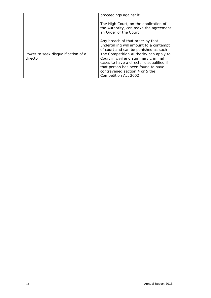|                                                 | proceedings against it                                                                                                                                                                                                    |
|-------------------------------------------------|---------------------------------------------------------------------------------------------------------------------------------------------------------------------------------------------------------------------------|
|                                                 | The High Court, on the application of<br>the Authority, can make the agreement<br>an Order of the Court                                                                                                                   |
|                                                 | Any breach of that order by that<br>undertaking will amount to a contempt<br>of court and can be punished as such                                                                                                         |
| Power to seek disqualification of a<br>director | The Competition Authority can apply to<br>Court in civil and summary criminal<br>cases to have a director disqualified if<br>that person has been found to have<br>contravened section 4 or 5 the<br>Competition Act 2002 |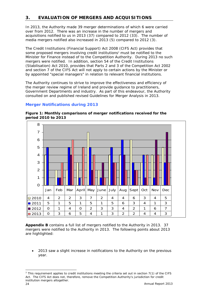# **3. EVALUATION OF MERGERS AND ACQUISITIONS**

In 2013, the Authority made 39 merger determinations of which 6 were carried over from 2012. There was an increase in the number of mergers and acquisitions notified to us in 2013 (37) compared to 2012 (33). The number of media mergers notified also increased in 2013 (5) compared to 2012 (3).

The Credit Institutions (Financial Support) Act 2008 (CIFS Act) provides that some proposed mergers involving credit institutions<sup>3</sup> must be notified to the Minister for Finance instead of to the Competition Authority. During 2013 no such mergers were notified. In addition, section 54 of the Credit Institutions (Stabilisation) Act 2010, provides that Parts 2 and 3 of the Competition Act 2002 and section 7 of the CIFS Act will not apply to certain actions by the Minister or by appointed "special managers" in relation to relevant financial institutions.

The Authority continues to strive to improve the effectiveness and efficiency of the merger review regime of Ireland and provide guidance to practitioners, Government Departments and industry. As part of this endeavour, the Authority consulted on and published revised Guidelines for Merger Analysis in 2013.

# **Merger Notifications during 2013**



**Figure 1: Monthly comparisons of merger notifications received for the period 2010 to 2013** 

*Appendix B* contains a full list of mergers notified to the Authority in 2013. 37 mergers were notified to the Authority in 2013. The following points about 2013 are highlighted:

• 2013 saw a slight increase in notifications to the Authority on the previous year.

Annual Report 2013 24 -<sup>3</sup> This requirement applies to credit institutions meeting the criteria set out in section 7(1) of the CIFS Act. The CIFS Act does not, therefore, remove the Competition Authority's jurisdiction for credit institution mergers altogether.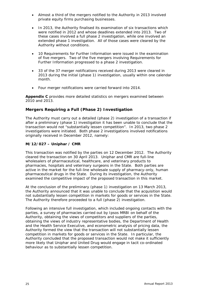- Almost a third of the mergers notified to the Authority in 2013 involved private equity firms purchasing businesses.
- In 2013, the Authority finalised its examination of six transactions which were notified in 2012 and whose deadlines extended into 2013. Two of these cases involved a full phase 2 investigation, while one involved an extended phase 1 investigation. All of those cases were cleared by the Authority without conditions.
- 10 Requirements for Further Information were issued in the examination of five mergers. Two of the five mergers involving Requirements for Further Information progressed to a phase 2 investigation.
- 33 of the 37 merger notifications received during 2013 were cleared in 2013 during the initial (phase 1) investigation, usually within one calendar month.
- Four merger notifications were carried forward into 2014.

*Appendix C* provides more detailed statistics on mergers examined between 2010 and 2013.

# **Mergers Requiring a Full (Phase 2) Investigation**

The Authority must carry out a detailed (phase 2) investigation of a transaction if after a preliminary (phase 1) investigation it has been unable to conclude that the transaction would not "substantially lessen competition". In 2013, two phase 2 investigations were initiated. Both phase 2 investigations involved notifications originally received in December 2012, namely:

# **M/12/027 – Uniphar / CMR**

This transaction was notified by the parties on 12 December 2012. The Authority cleared the transaction on 30 April 2013. Uniphar and CMR are full-line wholesalers of pharmaceutical, healthcare, and veterinary products to pharmacies, hospitals and veterinary surgeons in the State. Both parties are active in the market for the full-line wholesale supply of pharmacy-only, human pharmaceutical drugs in the State. During its investigation, the Authority examined the competitive impact of the proposed transaction in this market.

At the conclusion of the preliminary (phase 1) investigation on 13 March 2013, the Authority announced that it was unable to conclude that the acquisition would not substantially lessen competition in markets for goods or services in the State. The Authority therefore proceeded to a full (phase 2) investigation.

Following an intensive full investigation, which included ongoing contacts with the parties, a survey of pharmacies carried out by Ipsos MRBI on behalf of the Authority, obtaining the views of competitors and suppliers of the parties, obtaining the views of industry representative bodies, the Department of Health and the Health Service Executive, and econometric analysis of pricing data, the Authority formed the view that the transaction will not substantially lessen competition in markets for goods or services in the State. In particular, the Authority concluded that the proposed transaction would not make it sufficiently more likely that Uniphar and United Drug would engage in tacit co-ordinated behaviour as to substantially lessen competition.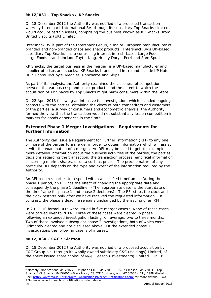# **M/12/031 – Top Snacks / KP Snacks**

On 18 December 2012 the Authority was notified of a proposed transaction whereby Intersnack International BV, through its subsidiary Top Snacks Limited, would acquire certain assets, comprising the business known as KP Snacks, from United Biscuits (UK) Limited.

Intersnack BV is part of the Intersnack Group, a major European manufacturer of branded and non-branded crisps and snack products. Intersnack BV's UK-based subsidiary Top Snacks has a controlling interest in Irish-based Largo Foods. Largo Foods brands include Tayto, King, Hunky Dorys, Perri and Sam Spudz.

KP Snacks, the target business in the merger, is a UK-based manufacturer and supplier of crisps and snacks. KP Snacks brands sold in Ireland include KP Nuts, Hula Hoops, McCoy's, Meanies, Rancheros and Skips.

As part of its analysis, the Authority examined the closeness of competition between the various crisp and snack products and the extent to which the acquisition of KP Snacks by Top Snacks might harm consumers within the State.

On 22 April 2013 following an intensive full investigation, which included ongoing contacts with the parties, obtaining the views of both competitors and customers of the parties, a survey of consumers and econometric analysis, the Authority formed the view that the transaction would not substantially lessen competition in markets for goods or services in the State.

# **Extended Phase 1 Merger Investigations - Requirements for Further Information**

The Authority can issue a Requirement for Further Information (RFI) to any one or more of the parties to a merger in order to obtain information which will assist it with the examination of a merger. An RFI may be used to get, for example, more detailed information about the business activities of the parties, the parties' decisions regarding the transaction, the transaction process, empirical information concerning market shares, or data such as prices. The precise nature of any particular RFI depends on the type and extent of the information required by the Authority.

An RFI requires parties to respond within a specified timeframe. During the phase 1 period, an RFI has the effect of changing the appropriate date and consequently the phase 1 deadline. (The 'appropriate date' is the start date of the timeframe for phase 1 and phase 2 decisions). The RFI stops the clock and the clock restarts only after we have received the requested information. In contrast, the phase 2 deadline remains unchanged by the issuing of an RFI.

In 2013, 10 formal RFIs were issued in five merger cases.<sup>4</sup> None of these cases were carried over to 2014. Three of these cases were cleared in phase 1 following an extended investigation lasting, on average, two to three months. Two of these involved subsequent phase 2 investigations, both of which were ultimately cleared and are discussed above. Of the extended phase 1 investigations the following case is of interest.

#### **M/12/030 – C&C / Gleeson**

On 18 December 2012 the Authority was notified of a proposed acquisition by C&C Group plc, through its wholly owned subsidiary C&C (Holdings) Limited, of the entire issued share capital of M&J Gleeson (Investments) Limited. On 16

-

Annual Report 2013 26 <sup>4</sup> Namely: Notifications M/12/027 - Uniphar / CMR, M/12/030 - C&C / Gleeson, M/12/031 - Top Snacks / KP Snacks, M/13/001 - BlackRock / CS ETF Business, and M/13/003 - BT / ESPN Global. See: http://www.tca.ie/EN/Mergers--Acquisitions/Merger-Notifications.aspx for more details. Two RFIs were issued in each of notifications listed above.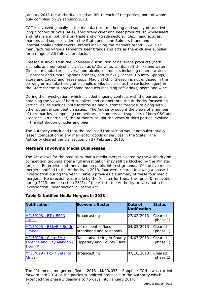January 2013 the Authority issued an RFI to each of the parties, both of whom duly complied on 29 January 2013.

C&C is involved globally in the manufacture, marketing and supply of branded long alcoholic drinks (LADs), specifically cider and beer products, to wholesalers and retailers in both the on-trade and off-trade sectors. C&C manufactures, markets and supplies cider in the State under the Bulmers brand and internationally under several brands including the Magners brand. C&C also manufactures various Tennent's beer brands and acts as the exclusive supplier for a range of AB InBev's products.

Gleeson is involved in the wholesale distribution of beverage products (both alcoholic and non-alcoholic), such as LADs, wine, spirits, soft drinks and water. Gleeson manufactures several non-alcoholic products including mineral waters (Tipperary and Crystal Springs brands), soft drinks (Finches, Country Springs, Score and Cadet) and freeze pops (Magic Stick). Gleeson is not engaged in the brewing or manufacturing of alcoholic drinks but acts as the exclusive agent in the State for the supply of some products including soft drinks, beers and wine.

During the investigation, which included ongoing contacts with the parties and obtaining the views of both suppliers and competitors, the Authority focused on vertical issues such as input foreclosure and customer foreclosure along with other potential competition issues. The Authority sought the views of a number of third parties, comprising competitors, customers and suppliers of both C&C and Gleesons. In particular, the Authority sought the views of third parties involved in the distribution of cider and beer.

The Authority concluded that the proposed transaction would not substantially lessen competition in any market for goods or services in the State. The Authority cleared the transaction on 27 February 2013.

# **Mergers Involving Media Businesses**

The Act allows for the possibility that a media merger cleared by the Authority on competition grounds after a full investigation may still be blocked by the Minister for Jobs, Enterprise and Innovation on public interest grounds. Of the five media mergers notified to the Authority in 2013, four were cleared following a phase 1 investigation during the year. Table 3 provides a summary of these four media mergers. No direction was made by the Minister for Jobs, Enterprise & Innovation during 2013, under section 23(2) of the Act, to the Authority to carry out a full investigation under section 22 of the Act.

| <b>Notification</b>                                                 | <b>Economic Sector</b>                                    | Date of<br>Notification | <b>Status</b>        |
|---------------------------------------------------------------------|-----------------------------------------------------------|-------------------------|----------------------|
| M/13/003 - BT / ESPN<br>Global                                      | <b>Broadcasting</b>                                       | 27/02/2013              | Cleared<br>(phase 1) |
| M/13/005 - BSkyB / Be Un<br>Limited                                 | <b>IUK</b> residential fixed<br>broadband and telephony   | 04/03/2013              | Cleared<br>(phase 1) |
| M/13/006 - Clare FM /<br>Terence and Gay Mangan /<br><b>Tipp FM</b> | Radio advertising in County<br>Tipperary and County Clare | 14/03/2013              | Cleared<br>(phase 1) |
| M/13/029 - Fox / Setanta<br><b>Africa</b>                           | <b>Broadcasting</b>                                       | 07/10/2013              | Cleared<br>(phase 1) |

#### **Table 3: Notified Media Mergers in 2013**

The fifth media merger notified in 2013 - M/13/033 – Sappho / TCH – was carried forward into 2014 as the parties submitted proposals to the Authority which extended the phase 1 deadline to 45 days into January 2014.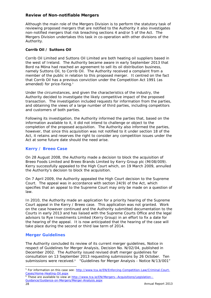# **Review of Non-notifiable Mergers**

Although the main role of the Mergers Division is to perform the statutory task of reviewing proposed mergers that are notified to the Authority it also investigates non-notified mergers that risk breaching sections 4 and/or 5 of the Act. The Mergers Division undertakes this task in co-operation with other divisions of the Authority.

# **Corrib Oil / Suttons Oil**

Corrib Oil Limited and Suttons Oil Limited are both heating oil suppliers based in the west of Ireland. The Authority became aware in early September 2013 that Bord na Móna had reached an agreement to sell its oil distribution business, namely Suttons Oil, to Corrib Oil. The Authority received a complaint from a member of the public in relation to this proposed merger. It centred on the fact that Corrib Oil has a previous conviction under the Competition Act 1991 (as amended) for price-fixing.<sup>5</sup>

Under the circumstances, and given the characteristics of the industry, the Authority decided to investigate the likely competitive impact of the proposed transaction. The investigation included requests for information from the parties, and obtaining the views of a large number of third parties, including competitors and customers of both parties.

Following its investigation, the Authority informed the parties that, based on the information available to it, it did not intend to challenge or object to the completion of the proposed acquisition. The Authority also informed the parties, however, that since this acquisition was not notified to it under section 18 of the Act, it retains and reserves the right to consider any competition issues under the Act at some future date should the need arise.

# **Kerry / Breeo Case**

On 28 August 2008, the Authority made a decision to block the acquisition of Breeo Foods Limited and Breeo Brands Limited by Kerry Group plc (M/08/009). Kerry successfully appealed to the High Court which, on 19 March 2009, annulled the Authority's decision to block the acquisition.

On 7 April 2009, the Authority appealed the High Court decision to the Supreme Court. The appeal was in accordance with section 24(9) of the Act, which specifies that an appeal to the Supreme Court may only be made on a question of law.

In 2010, the Authority made an application for a priority hearing of the Supreme Court appeal in the Kerry / Breeo case. This application was not granted. Work on the case however continued and the Authority submitted documentation to the Courts in early 2013 and has liaised with the Supreme Courts Office and the legal advisors to Rye Investments Limited (Kerry Group) in an effort to fix a date for the hearing of the appeal. It is now anticipated that the hearing of the case will take place during the second or third law term of 2014.

# **Merger Guidelines**

The Authority concluded its review of its current merger guidelines, *Notice in respect of Guidelines for Merger Analysis, Decision No. N/02/04*, published in December 2002. The Authority issued revised draft merger guidelines for consultation on 13 September 2013 requesting submissions by 26 October. Ten submissions were received.<sup>6</sup> "*Guidelines for Merger Analysis - Notice N/13/001*"

6 These are available to view at http://www.tca.ie/EN/Mergers--Acquisitions/Legislation--Guidance/Guidance-on-Mergers/Merger-Analysis.aspx

-

<sup>&</sup>lt;sup>5</sup> For information on this case see: http://www.tca.ie/EN/Enforcing-Competition-Law/Criminal-Court-Cases/Home-Heating-Oil.aspx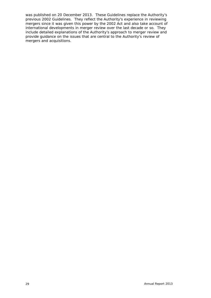was published on 20 December 2013. These Guidelines replace the Authority's previous 2002 Guidelines. They reflect the Authority's experience in reviewing mergers since it was given this power by the 2002 Act and also take account of international developments in merger review over the last decade or so. They include detailed explanations of the Authority's approach to merger review and provide guidance on the issues that are central to the Authority's review of mergers and acquisitions.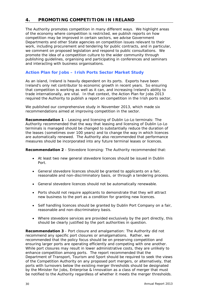# **4. PROMOTING COMPETITION IN IRELAND**

The Authority promotes competition in many different ways. We highlight areas of the economy where competition is restricted, we publish reports on how competition may be improved in certain sectors, we advise Government Departments and other State agencies on competition issues relevant to their work, including procurement and tendering for public contracts, and in particular, we comment on proposed legislation and respond to public consultations. We promote the idea of a competition culture to the wider community through publishing guidelines, organising and participating in conferences and seminars and interacting with business organisations.

# **Action Plan for Jobs – Irish Ports Sector Market Study**

As an island, Ireland is heavily dependent on its ports. Exports have been Ireland's only net contributor to economic growth in recent years. So ensuring that competition is working as well as it can, and increasing Ireland's ability to trade internationally, are vital. In that context, the Action Plan for Jobs 2013 required the Authority to publish a report on competition in the Irish ports sector.

We published our comprehensive study in November 2013, which made six recommendations aimed at improving competition in the sector.

**Recommendation 1** - Leasing and licensing of Dublin Lo-Lo terminals: The Authority recommended that the way that leasing and licensing of Dublin Lo-Lo terminals is managed should be changed to substantially reduce the duration of the leases (sometimes over 100 years) and to change the way in which licences are automatically renewed. The Authority also recommended that performance measures should be incorporated into any future terminal leases or licences.

**Recommendation 2** - Stevedore licensing: The Authority recommended that:

- At least two new general stevedore licences should be issued in Dublin Port.
- General stevedore licences should be granted to applicants on a fair, reasonable and non-discriminatory basis, or through a tendering process.
- General stevedore licences should not be automatically renewable.
- Ports should not require applicants to demonstrate that they will attract new business to the port as a condition for granting new licences.
- Self handling licences should be granted by Dublin Port Company on a fair, reasonable and non-discriminatory basis.
- Where stevedore services are provided exclusively by the port directly, this should be clearly justified by the port authorities in question.

**Recommendation 3** - Port closure and amalgamation: The Authority did not recommend any specific port closures or amalgamations. Rather, we recommended that the policy focus should be on preserving competition and ensuring larger ports are operating efficiently and competing with one another. While port closures may result in lower administrative costs, they are unlikely to enhance competition among ports. The report recommended that the Department of Transport, Tourism and Sport should be required to seek the views of the Competition Authority on any proposed port mergers, or alternatively, that ports with turnovers below the existing merger thresholds should be designated by the Minister for Jobs, Enterprise & Innovation as a class of merger that must be notified to the Authority regardless of whether it meets the merger thresholds.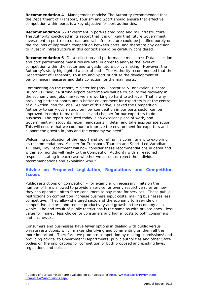**Recommendation 4** - Management models: The Authority recommended that the Department of Transport, Tourism and Sport should ensure that effective competition within ports is a key objective for port authorities.

**Recommendation 5** - Investment in port-related road and rail infrastructure: The Authority concluded in its report that it is unlikely that future Government investment in port-related road and rail infrastructure could be justified purely on the grounds of improving competition between ports, and therefore any decision to invest in infrastructure in this context should be carefully considered.

**Recommendation 6**- Data collection and performance measures: Data collection and port performance measures are vital in order to analyse the level of competition within the sector and to guide future policy-making. However, the Authority's study highlighted a lack of both. The Authority recommended that the Department of Transport, Tourism and Sport prioritise the development of performance measures and data collection for the main ports.

Commenting on the report, Minister for Jobs, Enterprise & Innovation, Richard Bruton TD, said, "*A strong export performance will be crucial to the recovery in the economy and jobs market we are working so hard to achieve. That is why providing better supports and a better environment for exporters is at the centre of our Action Plan for Jobs. As part of this drive, I asked the Competition Authority to carry out a study on how competition in our ports sector can be improved, in order to make it easier and cheaper for our exporters to do business. The report produced today is an excellent piece of work, and Government will study its recommendations in detail and take appropriate action. This will ensure that we continue to improve the environment for exporters and support the growth in jobs and the economy we need*".

Welcoming publication of the report and signalling his commitment to exploring its recommendations, Minister for Transport, Tourism and Sport, Leo Varadkar TD, said, "*My Department will now consider these recommendations in detail and within six months will reply to the Competition Authority with a 'reasoned response' stating in each case whether we accept or reject the individual recommendations and explaining why.*"

# **Advice on Proposed Legislation, Regulations and Competition Issues**

Public restrictions on competition – for example, unnecessary limits on the number of firms allowed to provide a service, or overly restrictive rules on how they can operate - often force consumers to pay more for services. These public restrictions on competition increase business input costs, making businesses less competitive. They allow sheltered sectors of the economy to free-ride on competitive sectors, and reduce productivity and growth in the economy as a whole. The end result of public restrictions is the same as with private ones - less value for money, less choice for consumers and higher costs to both consumers and businesses.

Consumers and businesses have fewer options in dealing with public versus private restrictions, which makes identifying and commenting on them all the more important. Therefore, we promote competition by making submissions<sup>7</sup> and providing advice, to Government Departments, public authorities and other State bodies on the implications for competition of both proposed and existing laws, regulations and policies.

-

<sup>&</sup>lt;sup>7</sup> Copies of our submission are available on our website at http://www.tca.ie/EN/Promoting-Competitio/Submissions.aspx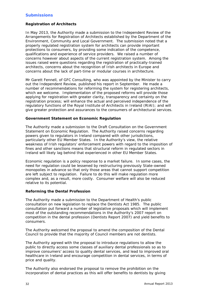# **Submissions**

#### **Registration of Architects**

In May 2013, the Authority made a submission to the *Independent Review of the Arrangements for Registration of Architects* established by the Department of the Environment, Community and Local Government. The submission noted that a properly regulated registration system for architects can provide important protections to consumers, by providing some indication of the competence, qualifications and experience of service providers. We raised a number of concerns however about aspects of the current registration system. Among the issues raised were questions regarding the registration of practically-trained architects, concerns about the recognition of Irish architects in Europe and concerns about the lack of part-time or modular courses in architecture.

Mr Garett Fennell, of GFC Consulting, who was appointed by the Minister to carry out the Independent Review, published his report in September. He made a number of recommendations for reforming the system for registering architects, which we welcome. Implementation of the proposed reforms will provide those applying for registration with greater clarity, transparency and certainty on the registration process; will enhance the actual and perceived independence of the regulatory functions of the Royal Institute of Architects in Ireland (RIAI); and will give greater protection and assurances to the consumers of architectural services.

#### **Government Statement on Economic Regulation**

The Authority made a submission to the Draft Consultation on the Government Statement on Economic Regulation. The Authority raised concerns regarding powers given to regulators in Ireland compared with other jurisdictions, particularly other EU Member States. In the Authority's view, the relative weakness of Irish regulators' enforcement powers with regard to the imposition of fines and other sanctions means that structural reform in regulated sectors in Ireland will likely lag behind that experienced in other EU Member States.

Economic regulation is a policy response to a market failure. In some cases, the need for regulation could be lessened by restructuring previously State-owned monopolies in advance so that only those areas that cannot support competition are left subject to regulation. Failure to do this will make regulation more complex and, as a result, more costly. Consumer welfare will also be reduced relative to its potential.

#### **Reforming the Dental Profession**

The Authority made a submission to the Department of Health's public consultation on new legislation to replace the Dentists Act 1985. The public consultation put forward a number of legislative proposals which will implement most of the outstanding recommendations in the Authority's 2007 report on competition in the dental profession (Dentists Report 2007) and yield benefits to consumers.

The Authority welcomed the proposal to amend the composition of the Dental Council to provide that the majority of Council members are not dentists.

The Authority agreed with the proposal to introduce regulations to allow the public to directly access some classes of auxiliary dental professionals so as to improve consumers' access to quality dental services, and lead to improved oral healthcare in Ireland and encourage competition in dental services, in terms of price and quality.

The Authority also endorsed the proposal to remove the prohibition on the incorporation of dental practices as this will offer benefits to dentists by giving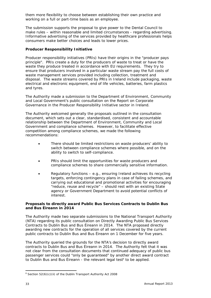them more flexibility to choose between establishing their own practice and working on a full or part-time basis as an employee.

The submission supports the proposal to give power to the Dental Council to make rules – within reasonable and limited circumstances - regarding advertising. Informative advertising of the services provided by healthcare professionals helps consumers make better choices and leads to lower prices.

#### **Producer Responsibility Initiative**

Producer responsibility initiatives (PRIs) have their origins in the "producer pays principle". PRIs create a duty for the producers of waste to treat or have the waste they produce treated in accordance with EU requirements. They try to ensure that producers involved in a particular waste stream pay the full costs of waste management services provided including collection, treatment and disposal. The waste streams covered by PRIs in Ireland include packaging, waste electrical and electronic equipment, end of life vehicles, batteries, farm plastics and tyres.

The Authority made a submission to the Department of Environment, Community and Local Government's public consultation on the Report on Corporate Governance in the Producer Responsibility Initiative sector in Ireland.

The Authority welcomed generally the proposals outlined in the consultation document, which sets out a clear, standardised, consistent and accountable relationship between the Department of Environment, Community and Local Government and compliance schemes. However, to facilitate effective competition among compliance schemes, we made the following recommendations:

- There should be limited restrictions on waste producers' ability to switch between compliance schemes where possible, and on the ability to switch to self-compliance.
- PRIs should limit the opportunities for waste producers and compliance schemes to share commercially sensitive information.
- Regulatory functions e.g., ensuring Ireland achieves its recycling targets, enforcing contingency plans in case of failing schemes, and carrying out educational and promotional activities for encouraging "reduce, reuse and recycle" – should rest with an existing State agency or Government Department to avoid potential conflicts of interest.

#### **Proposals to directly award Public Bus Services Contracts to Dublin Bus and Bus Éireann in 2014**

The Authority made two separate submissions to the National Transport Authority (NTA) regarding its public consultation on Directly Awarding Public Bus Services Contracts to Dublin Bus and Bus Éireann in 2014. The NTA proposed directly awarding new contracts for the operation of all services covered by the current public contracts to Dublin Bus and Bus Éireann on 1 December for five years.

The Authority queried the grounds for the NTA's decision to directly award contracts to Dublin Bus and Bus Éireann in 2014. The Authority felt that it was not clear from the consultation documents that continued adequacy of public bus passenger services could "only be guaranteed" by another direct award contract to Dublin Bus and Bus Éireann - the relevant legal test<sup>8</sup> to be applied.

<sup>-</sup> $8$  Section 52(6)(c)(ii) of the Dublin Transport Authority Act 2008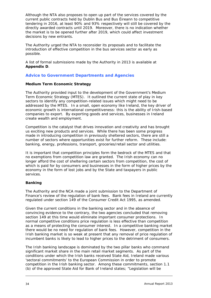Although the NTA also proposes to open up part of the services covered by the current public contracts held by Dublin Bus and Bus Éireann to competitive tendering in 2016, at least 90% and 93% respectively will still be covered by the directly awarded contracts until 2019. Moreover, there is no indication whether the market is to be opened further after 2019, which could affect investment decisions by new entrants.

The Authority urged the NTA to reconsider its proposals and to facilitate the introduction of effective competition in the bus services sector as early as possible.

A list of formal submissions made by the Authority in 2013 is available at *Appendix D*.

# **Advice to Government Departments and Agencies**

#### **Medium Term Economic Strategy**

The Authority provided input to the development of the Government's Medium Term Economic Strategy (MTES). It outlined the current state of play in key sectors to identify any competition-related issues which might need to be addressed by the MTES. In a small, open economy like Ireland, the key driver of economic growth is international competitiveness: this is the ability of Irish-based companies to export. By exporting goods and services, businesses in Ireland create wealth and employment.

Competition is the catalyst that drives innovation and creativity and has brought us exciting new products and services. While there has been some progress made in introducing competition in previously sheltered sectors, there are still a number of sectors where opportunities exist for further reform. These include: banking, energy, professions, transport, groceries/retail sector and utilities.

It is important that competition principles form the bedrock of the MTES and that no exemptions from competition law are granted. The Irish economy can no longer afford the cost of sheltering certain sectors from competition, the cost of which is paid for by consumers and businesses in the form of higher prices by the economy in the form of lost jobs and by the State and taxpayers in public services.

# **Banking**

The Authority and the NCA made a joint submission to the Department of Finance's review of the regulation of bank fees. Bank fees in Ireland are currently regulated under section 149 of the Consumer Credit Act 1995, as amended.

Given the current conditions in the banking sector and in the absence of convincing evidence to the contrary, the two agencies concluded that removing section 149 at this time would eliminate important consumer protections. In normal competitive conditions price regulation is less effective than competition as a means of protecting the consumer interest. In a competitive banking market there would be no need for regulation of bank fees. However, competition in the Irish banking market is so weak at present that any removal of price regulation of incumbent banks is likely to lead to higher prices to the detriment of consumers.

The Irish banking landscape is dominated by the two pillar banks who command significant market share in the main retail market segments. As part of the conditions under which the Irish banks received State Aid, Ireland made various 'sectoral commitments' to the European Commission in order to promote competition in the Irish banking sector. Among these commitments, section 1.1 (b) of the approved State Aid for Bank of Ireland states; "Legislation will be

-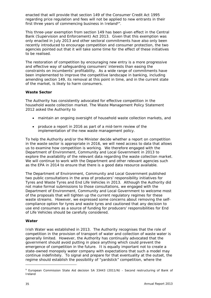enacted that will provide that section 149 of the Consumer Credit Act 1995 regarding price regulation and fees will not be applied to new entrants in their first three years of commencing business in Ireland<sup>9</sup>".

This three-year exemption from section 149 has been given effect in the Central Bank (Supervision and Enforcement) Act 2013. Given that this exemption was only enacted in July 2013 and other sectoral commitments have also only been recently introduced to encourage competition and consumer protection, the two agencies pointed out that it will take some time for the effect of these initiatives to be realised.

The restoration of competition by encouraging new entry is a more progressive and effective way of safeguarding consumers' interests than easing the constraints on incumbents' profitability. As a wide range of commitments have been implemented to improve the competitive landscape in banking, including amending section 149, its removal at this point in time, and in the current state of the market, is likely to harm consumers.

#### **Waste Sector**

The Authority has consistently advocated for effective competition in the household waste collection market. The Waste Management Policy Statement 2012 asked the Authority to

- maintain an ongoing oversight of household waste collection markets, and
- produce a report in 2016 as part of a mid-term review of the implementation of the new waste management policy.

To help the Authority and/or the Minister decide whether a report on competition in the waste sector is appropriate in 2016, we will need access to data that allows us to examine how competition is working. We therefore engaged with the Department of Environment, Community and Local Government in 2013 to explore the availability of the relevant data regarding the waste collection market. We will continue to work with the Department and other relevant agencies such as the EPA in 2014 to ensure that there is a good data resource available.

The Department of Environment, Community and Local Government published two public consultations in the area of producers' responsibility initiatives for Tyres and Waste Tyres and End Life Vehicles in 2013. Although the Authority did not make formal submissions to those consultations, we engaged with the Department of Environment, Community and Local Government to welcome most of the proposals that will tighten up the current regulatory regimes for these waste streams. However, we expressed some concerns about removing the selfcompliance option for tyres and waste tyres and cautioned that any decision to use end consumers as a source of funding for producers' responsibilities for End of Life Vehicles should be carefully considered.

#### **Water**

Irish Water was established in 2013. The Authority recognises that the role of competition in the provision of transport of water and collection of waste water is generally limited. However, the Authority has continually advocated that the government should avoid putting in place anything which could prevent the emergence of competition in the future. It is equally important not to create a state-owned monopoly water company with expectations that such a model may continue indefinitely. To signal and prepare for that eventuality at the outset, the regime should establish the possibility of "yardstick" competition, where the

-

<sup>&</sup>lt;sup>9</sup> European Commission State Aid decision SA 33443 (2011/N) - Second restructuring of Bank of Ireland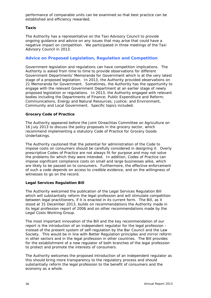performance of comparable units can be examined so that best practice can be established and efficiency rewarded.

#### **Taxis**

The Authority has a representative on the Taxi Advisory Council to provide ongoing guidance and advice on any issues that may arise that could have a negative impact on competition. We participated in three meetings of the Taxi Advisory Council in 2013.

# **Advice on Proposed Legislation, Regulation and Competition**

Government legislation and regulations can have competition implications. The Authority is asked from time to time to provide observations for different Government Departments' Memoranda for Government which is at the very latest stage of a proposed legislation. In 2013, the Authority provided observations on 21 Memoranda for Government. Sometimes, the Authority has the opportunity to engage with the relevant Government Department at an earlier stage of newly proposed legislation or regulations. In 2013, the Authority engaged with relevant bodies including the Departments of Finance; Public Expenditure and Reform; Communications, Energy and Natural Resources; Justice; and Environment, Community and Local Government. Specific topics included:

#### **Grocery Code of Practice**

The Authority appeared before the Joint Oireachtas Committee on Agriculture on 16 July 2013 to discuss the policy proposals in the grocery sector, which recommend implementing a statutory Code of Practice for Grocery Goods Undertakings.

The Authority cautioned that the potential for administration of the Code to impose costs on consumers should be carefully considered in designing it. Overly prescriptive Codes of Practice are not always fit for purpose and may not solve the problems for which they were intended. In addition, Codes of Practice can impose significant compliance costs on small and large businesses alike, which are likely to be passed on to consumers. Furthermore, the effective enforcement of such a code depends on access to credible evidence, and on the willingness of witnesses to go on the record.

# **Legal Services Regulation Bill**

The Authority welcomed the publication of the Legal Services Regulation Bill which will substantially reform the legal profession and will stimulate competition between legal practitioners, if it is enacted in its current form. The Bill, as it stood at 31 December 2013, builds on recommendations the Authority made in its legal profession report of 2006 and on other recommendations made by the Legal Costs Working Group.

The most important innovation of the Bill and the key recommendation of our report is the introduction of an independent regulator for the legal profession – instead of the present system of self-regulation by the Bar Council and the Law Society. This would be in line with Better Regulation principles and mirror reform in other sectors and in the legal profession in other countries. The Bill provides for the establishment of a new regulator of both branches of the legal profession to protect and promote the interests of consumers.

The Authority welcomes the proposed introduction of an independent regulator as this should bring more transparency to the regulatory process and should substantially reform the legal profession to the benefit of consumers and the economy as a whole.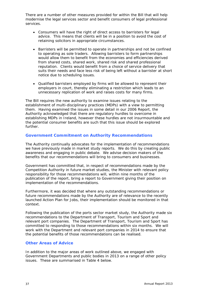There are a number of other measures provided for within the Bill that will help modernise the legal services sector and benefit consumers of legal professional services.

- Consumers will have the right of direct access to barristers for legal advice. This means that clients will be in a position to avoid the cost of retaining solicitors in appropriate circumstances.
- Barristers will be permitted to operate in partnerships and not be confined to operating as sole traders. Allowing barristers to form partnerships would allow them to benefit from the economies and efficiencies derived from shared costs, shared work, shared risk and shared professional reputation. Clients would benefit from a choice of service delivery that suits their needs and face less risk of being left without a barrister at short notice due to scheduling issues.
- Qualified barristers employed by firms will be allowed to represent their employers in court, thereby eliminating a restriction which leads to an unnecessary replication of work and raises costs for many firms.

The Bill requires the new authority to examine issues relating to the establishment of multi-disciplinary practices (MDPs) with a view to permitting them. Having examined the issues in some detail in our 2006 Report, the Authority acknowledged that there are regulatory hurdles to overcome in establishing MDPs in Ireland, however these hurdles are not insurmountable and the potential consumer benefits are such that this issue should be explored further.

# **Government Commitment on Authority Recommendations**

The Authority continually advocates for the implementation of recommendations we have previously made in market study reports. We do this by creating public awareness and engaging in public debate. We advise decision makers of the benefits that our recommendations will bring to consumers and businesses.

Government has committed that, in respect of recommendations made by the Competition Authority in future market studies, the Minister with relevant policy responsibility for those recommendations will, within nine months of the publication of the report, bring a report to Government giving their position on implementation of the recommendations.

Furthermore, it was decided that where any outstanding recommendations or future recommendations made by the Authority are of relevance to the recently launched *Action Plan for Jobs*, their implementation should be monitored in that context.

Following the publication of the ports sector market study, the Authority made six recommendations to the Department of Transport, Tourism and Sport and relevant port companies. The Department of Transport, Tourism and Sport has committed to responding to those recommendations within six months. We will work with the Department and relevant port companies in 2014 to ensure that the potential benefits of those recommendations can be realised.

# **Other Areas of Advice**

In addition to the major areas of work outlined above, we engaged with Government Departments and public bodies in 2013 on a range of other policy issues. These are summarised in Table 4 below.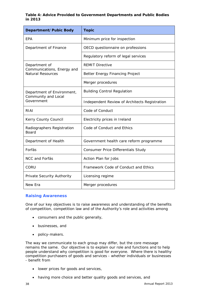# **Table 4: Advice Provided to Government Departments and Public Bodies in 2013**

| Department/Pubic Body                                  | <b>Topic</b>                                  |
|--------------------------------------------------------|-----------------------------------------------|
| EPA                                                    | Minimum price for inspection                  |
| Department of Finance                                  | OECD questionnaire on professions             |
|                                                        | Regulatory reform of legal services           |
| Department of                                          | <b>REMIT Directive</b>                        |
| Communications, Energy and<br><b>Natural Resources</b> | Better Energy Financing Project               |
|                                                        | Merger procedures                             |
| Department of Environment,<br>Community and Local      | <b>Building Control Regulation</b>            |
| Government                                             | Independent Review of Architects Registration |
| RIAI                                                   | Code of Conduct                               |
| Kerry County Council                                   | Electricity prices in Ireland                 |
| Radiographers Registration<br>Board                    | Code of Conduct and Ethics                    |
| Department of Health                                   | Government health care reform programme       |
| Forfás                                                 | <b>Consumer Price Differentials Study</b>     |
| NCC and Forfás                                         | <b>Action Plan for Jobs</b>                   |
| CORU                                                   | Framework Code of Conduct and Ethics          |
| Private Security Authority                             | Licensing regime                              |
| New Era                                                | Merger procedures                             |

# **Raising Awareness**

One of our key objectives is to raise awareness and understanding of the benefits of competition, competition law and of the Authority's role and activities among

- consumers and the public generally,
- businesses, and
- policy-makers.

The way we communicate to each group may differ, but the core message remains the same. Our objective is to explain our role and functions and to help people understand why competition is good for everyone. Where there is healthy competition purchasers of goods and services - whether individuals or businesses - benefit from

- lower prices for goods and services,
- having more choice and better quality goods and services, and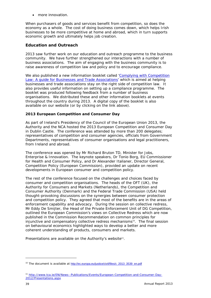• more innovation.

When purchasers of goods and services benefit from competition, so does the economy as a whole. The cost of doing business comes down, which helps Irish businesses to be more competitive at home and abroad, which in turn supports economic growth and ultimately helps job creation.

# **Education and Outreach**

2013 saw further work on our education and outreach programme to the business community. We have further strengthened our interactions with a number of business associations. The aim of engaging with the business community is to raise awareness of competition law and policy and to encourage compliance.

We also published a new information booklet called *'Complying with Competition*  Law: A quide for Businesses and Trade Associations' which is aimed at helping businesses and trade associations stay on the right side of competition law. It also provides useful information on setting up a compliance programme. The booklet was produced following feedback from a number of business organisations. We distributed these and other information booklets at events throughout the country during 2013. A digital copy of the booklet is also available on our website (or by clicking on the link above).

# **2013 European Competition and Consumer Day**

As part of Ireland's Presidency of the Council of the European Union 2013, the Authority and the NCA hosted the 2013 European Competition and Consumer Day in Dublin Castle. The conference was attended by more than 200 delegates; representatives of competition and consumer agencies, officials from Government Departments, representatives of consumer organisations and legal practitioners, from Ireland and abroad.

The conference was opened by Mr Richard Bruton TD, Minister for Jobs, Enterprise & Innovation. The keynote speakers, Dr Tonio Borg, EU Commissioner for Health and Consumer Policy, and Dr Alexander Italianer, Director General, Competition Policy (European Commission), provided an update on recent developments in European consumer and competition policy.

The rest of the conference focused on the challenges and choices faced by consumer and competition organisations. The heads of the OFT (UK), the Authority for Consumers and Markets (Netherlands), the Competition and Consumer Authority (Denmark) and the Federal Trade Commission (USA) held thought-provoking discussions on the synergies between consumer protection and competition policy. They agreed that most of the benefits are in the areas of enforcement capability and advocacy. During the session on collective redress, Mr Eddy De Smijter, the Head of the Private Enforcement Unit of DG Competition, outlined the European Commission's views on Collective Redress which are now published in the *Commission Recommendation on common principles for injunctive and compensatory collective redress mechanisms<sup>10</sup>. The final session* on behavioural economics highlighted ways to develop a better and more coherent understanding of products, consumers and markets.

Presentations are available on the Authority's website<sup>11</sup>.

-

<sup>&</sup>lt;sup>10</sup> The document is available at http://ec.europa.eu/justice/civil/files/c\_2013\_3539\_en.pdf

<sup>11</sup> http://www.tca.ie/EN/News--Publications/Events/European-Competition-and-Consumer-Day-2012/Presentations.aspx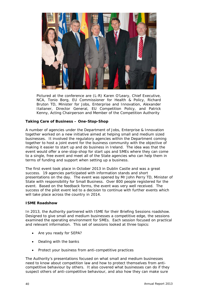

*Pictured at the conference are (L-R) Karen O'Leary, Chief Executive, NCA, Tonio Borg, EU Commissioner for Health & Policy, Richard Bruton TD, Minister for Jobs, Enterprise and Innovation, Alexander Italianer, Director General, EU Competition Policy, and Patrick Kenny, Acting Chairperson and Member of the Competition Authority*

# **Taking Care of Business – One-Stop-Shop**

A number of agencies under the Department of Jobs, Enterprise & Innovation together worked on a new initiative aimed at helping small and medium sized businesses. It involved the regulatory agencies within the Department coming together to host a joint event for the business community with the objective of making it easier to start up and do business in Ireland. The idea was that the event would offer a one-stop-shop for start ups and SMEs where they can come to a single, free event and meet all of the State agencies who can help them in terms of funding and support when setting up a business.

The first event took place in October 2013 in Dublin Castle and was a great success. 19 agencies participated with information stands and short presentations on the day. The event was opened by Mr John Perry TD, Minister of State with responsibility for Small Business. Over 800 people registered for the event. Based on the feedback forms, the event was very well received. The success of the pilot event led to a decision to continue with further events which will take place across the country in 2014.

#### **ISME Roadshow**

In 2013, the Authority partnered with ISME for their Briefing Sessions roadshow. Designed to give small and medium businesses a competitive edge, the sessions examined the operating environment for SMEs. Each session focused on practical and relevant information. This set of sessions looked at three topics:

- Are you ready for SEPA?
- Dealing with the banks
- Protect your business from anti-competitive practices

The Authority's presentations focused on what small and medium businesses need to know about competition law and how to protect themselves from anticompetitive behaviour by others. It also covered what businesses can do if they suspect others of anti-competitive behaviour, and also how they can make sure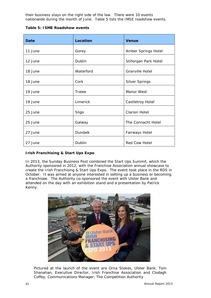their business stays on the right side of the law. There were 10 events nationwide during the month of June. Table 5 lists the IMSE roadshow events.

|  | Table 5: ISME Roadshow events |  |
|--|-------------------------------|--|
|  |                               |  |

| Date    | Location  | <b>Venue</b>           |
|---------|-----------|------------------------|
| 11 June | Gorey     | Amber Springs Hotel    |
| 12 June | Dublin    | Stillorgan Park Hotel  |
| 18 June | Waterford | <b>Granville Hotel</b> |
| 18 June | Cork      | <b>Silver Springs</b>  |
| 19 June | Tralee    | Manor West             |
| 19 June | Limerick  | Castletroy Hotel       |
| 25 June | Sligo     | <b>Clarion Hotel</b>   |
| 25 June | Galway    | The Connacht Hotel     |
| 27 June | Dundalk   | Fairways Hotel         |
| 27 June | Dublin    | <b>Red Cow Hotel</b>   |

# **Irish Franchising & Start Ups Expo**

In 2013, the Sunday Business Post combined the Start Ups Summit, which the Authority sponsored in 2012, with the Franchise Association annual showcase to create the Irish Franchising & Start Ups Expo. The event took place in the RDS in October. It was aimed at anyone interested in setting up a business or becoming a franchisee. The Authority co-sponsored the event with Ulster Bank and attended on the day with an exhibition stand and a presentation by Patrick Kenny.



*Pictured at the launch of the event are Orna Stokes, Ulster Bank, Tom Shanahan, Executive Director, Irish Franchise Association and Clodagh Coffey, Communications Manager, The Competition Authority*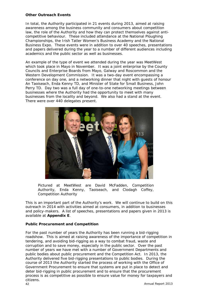### **Other Outreach Events**

In total, the Authority participated in 21 events during 2013, aimed at raising awareness among the business community and consumers about competition law, the role of the Authority and how they can protect themselves against anticompetitive behaviour. These included attendance at the National Ploughing Championships, the Irish Tatler Women's Business Academy and the National Business Expo. These events were in addition to over 40 speeches, presentations and papers delivered during the year to a number of different audiences including academics and the public sector as well as businesses.

An example of the type of event we attended during the year was MeetWest which took place in Mayo in November. It was a joint enterprise by the County Councils and Enterprise Boards from Mayo, Galway and Roscommon and the Western Development Commission. It was a two-day event encompassing a conference on day one, and a networking dinner that night with guests of honour An Taoiseach, Enda Kenny TD, and Minister of State for Small Business, John Perry TD. Day two was a full day of one-to-one networking meetings between businesses where the Authority had the opportunity to meet with many businesses from the locality and beyond. We also had a stand at the event. There were over 440 delegates present.



*Pictured at MeetWest are David McFadden, Competition Authority, Enda Kenny, Taoiseach, and Clodagh Coffey, Competition Authority* 

This is an important part of the Authority's work. We will continue to build on this outreach in 2014 with activities aimed at consumers, in addition to businesses and policy-makers. A list of speeches, presentations and papers given in 2013 is available at *Appendix E*.

# **Public Procurement and Competition**

 Annual Report 2013 42 For the past number of years the Authority has been running a bid-rigging roadshow. This is aimed at raising awareness of the importance of competition in tendering, and avoiding bid-rigging as a way to combat fraud, waste and corruption and to save money, especially in the public sector. Over the past number of years we have met with a number of Government Departments and public bodies about public procurement and the Competition Act. In 2013, the Authority delivered five bid-rigging presentations to public bodies. During the course of 2013 the Authority started the process of working with the Office of Government Procurement to ensure that systems are put in place to detect and deter bid-rigging in public procurement and to ensure that the procurement process is as competitive as possible to ensure value for money for taxpayers and citizens.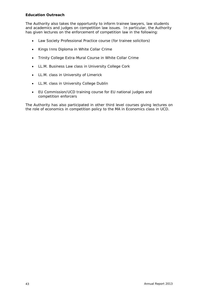# **Education Outreach**

The Authority also takes the opportunity to inform trainee lawyers, law students and academics and judges on competition law issues. In particular, the Authority has given lectures on the enforcement of competition law in the following:

- Law Society Professional Practice course (for trainee solicitors)
- Kings Inns Diploma in White Collar Crime
- Trinity College Extra-Mural Course in White Collar Crime
- LL.M. Business Law class in University College Cork
- LL.M. class in University of Limerick
- LL.M. class in University College Dublin
- EU Commission/UCD training course for EU national judges and competition enforcers

The Authority has also participated in other third level courses giving lectures on the role of economics in competition policy to the MA in Economics class in UCD.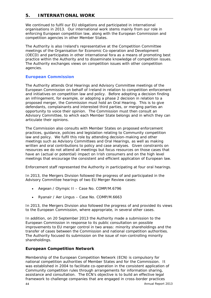# **5. INTERNATIONAL WORK**

We continued to fulfil our EU obligations and participated in international organisations in 2013. Our international work stems mainly from our role in enforcing European competition law, along with the European Commission and competition agencies in other Member States.

The Authority is also Ireland's representative at the Competition Committee meetings of the Organisation for Economic Co-operation and Development (OECD) and participates in other international fora as a means of promoting best practice within the Authority and to disseminate knowledge of competition issues. The Authority exchanges views on competition issues with other competition agencies.

# **European Commission**

The Authority attends Oral Hearings and Advisory Committee meetings of the European Commission on behalf of Ireland in relation to competition enforcement and initiatives on competition law and policy. Before adopting a decision finding an infringement, for example, or adopting a phase 2 decision in relation to a proposed merger, the Commission must hold an Oral Hearing. This is to give defendants, complainants and interested third parties, or merging parties an opportunity to voice their opinion. The Commission must then consult an Advisory Committee, to which each Member State belongs and in which they can articulate their opinions.

The Commission also consults with Member States on proposed enforcement practices, guidance, policies and legislation relating to Community competition law and policy. We fulfil this role by attending decision-making and other meetings such as Advisory Committees and Oral Hearings, as well as making written and oral contributions to policy and case analyses. Given constraints on resources we do not attend all meetings but focus resources on those cases that have an (actual or potential) impact on Irish consumers and on the high level meetings that encourage the consistent and efficient application of European law.

Enforcement staff represented the Authority in participating at four oral hearings.

In 2013, the Mergers Division followed the progress of and participated in the Advisory Committee hearings of two EU Merger Review cases:

- *Aegean / Olympic II Case No. COMP/M.6796*
- *Ryanair / Aer Lingus Case No. COMP/M.6663*

In 2013, the Mergers Division also followed the progress of and provided its views to the European Commission, where appropriate, in several other cases.

In addition, on 20 September 2013 the Authority made a submission to the European Commission in response to its public consultation on possible improvements to EU merger control in two areas: minority shareholdings and the transfer of cases between the Commission and national competition authorities. The Authority focused its submission on the issue of non-controlling minority shareholdings.

# **European Competition Network**

Membership of the European Competition Network (ECN) is compulsory for national competition authorities of Member States and for the Commission. It was established in 2004 to facilitate co-operation in the consistent application of Community competition rules through arrangements for information sharing, assistance and consultation. The ECN's objective is to build an effective legal framework to challenge companies that are engaged in cross-border practices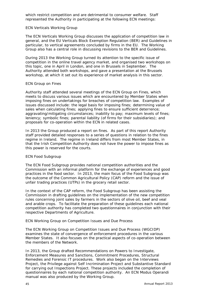which restrict competition and are detrimental to consumer welfare. Staff represented the Authority in participating at the following ECN meetings:

#### *ECN Verticals Working Group*

The ECN Verticals Working Group discusses the application of competition law in general, and the EU Verticals Block Exemption Regulation (BER) and Guidelines in particular, to vertical agreements concluded by firms in the EU. The Working Group also has a central role in discussing revisions to the BER and Guidelines.

During 2013 the Working Group turned its attention to the specific issue of competition in the online travel agency market, and organised two workshops on this topic, one in April in London, and one in Brussels in September. The Authority attended both workshops, and gave a presentation at the Brussels workshop, at which it set out its experience of market analysis in this sector.

#### *ECN Group on Fines*

Authority staff attended several meetings of the ECN Group on Fines, which meets to discuss various issues which are encountered by Member States when imposing fines on undertakings for breaches of competition law. Examples of issues discussed include: the legal basis for imposing fines; determining value of sales when calculating fines; applying fines to ensure sufficient deterrence; aggravating/mitigating circumstances; inability to pay; maximum levels of fines; leniency; symbolic fines; parental liability (of firms for their subsidiaries); and proposals for co-operation within the ECN in related cases.

In 2013 the Group produced a report on fines. As part of this report Authority staff provided detailed responses to a series of questions in relation to the fines regime in Ireland. The regime in Ireland differs from most Member States, in that the Irish Competition Authority does not have the power to impose fines as this power is reserved for the courts.

# *ECN Food Subgroup*

The ECN Food Subgroup provides national competition authorities and the Commission with an informal platform for the exchange of experiences and good practices in the food sector. In 2013, the main focus of the Food Subgroup was the outcome of the Common Agricultural Policy (CAP) reform and the issue of unfair trading practices (UTPs) in the grocery retail sector.

In the context of the CAP reform, the Food Subgroup has been assisting the Commission in drafting guidelines on the implementation of the new competition rules concerning joint sales by farmers in the sectors of olive oil, beef and veal and arable crops. To facilitate the preparation of these guidelines each national competition authority has completed two questionnaires in conjunction with their respective Departments of Agriculture.

# *ECN Working Group on Competition Issues and Due Process*

The ECN Working Group on Competition Issues and Due Process (WGCIDP) examines the state of convergence of enforcement procedures in the various Member States. It also focuses on the practical aspects of co-operation between the members of the Network.

In 2013, the Group drafted Recommendations on Powers to Investigate, Enforcement Measures and Sanctions, Commitment Procedures, Structural Remedies and Forensic IT procedures. Work also began on the Interviews Project, the Privilege against Self Incrimination Project and Substantive Standard for carrying out Inspections Project. These projects included the completion of questionnaires by each national competition authority. An ECN Modus Operandi manual was also produced by the Working Group.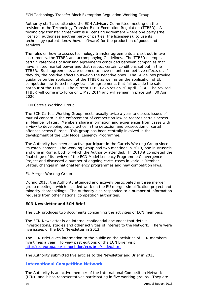## *ECN Technology Transfer Block Exemption Regulation Working Group*

Authority staff also attended the ECN Advisory Committee meeting on the revision to the Technology Transfer Block Exemption Regulation (TTBER). A technology transfer agreement is a licensing agreement where one party (the licensor) authorises another party or parties, the licensee(s), to use its technology (patent, know-how, software) for the production of goods and services.

The rules on how to assess technology transfer agreements are set out in two instruments, the TTBER and accompanying Guidelines. The TTBER exempts certain categories of licensing agreements concluded between companies that have limited market power and that respect certain conditions set out in the TTBER. Such agreements are deemed to have no anti-competitive effects or, if they do, the positive effects outweigh the negative ones. The Guidelines provide guidance on the application of the TTBER as well as on the application of EU competition law to technology transfer agreements that fall outside the safe harbour of the TTBER. The current TTBER expires on 30 April 2014. The revised TTBER will come into force on 1 May 2014 and will remain in place until 30 April 2026.

#### *ECN Cartels Working Group*

The ECN Cartels Working Group meets usually twice a year to discuss issues of mutual concern in the enforcement of competition law as regards cartels across all Member States. Members share information and experiences from cases with a view to developing best practice in the detection and prosecution of cartel offences across Europe. This group has been centrally involved in the development of the ECN Model Leniency Programme.

The Authority has been an active participant in the Cartels Working Group since its establishment. The Working Group had two meetings in 2013, one in Brussels and one in Rome, both of which the Authority attended. In 2013 it completed the final stage of its review of the ECN Model Leniency Programme Convergence Project and discussed a number of ongoing cartel cases in various Member States, changes in national leniency programmes and new competition laws.

#### *EU Merger Working Group*

During 2013, the Authority attended and actively participated in three merger group meetings, which included work on the EU merger simplification project and minority shareholdings. The Authority also responded to a number of information requests from other national competition authorities.

#### **ECN Newsletter and ECN Brief**

The ECN produces two documents concerning the activities of ECN members.

The ECN *Newsletter* is an internal confidential document that details investigations, studies and other activities of interest to the Network. There were five issues of the ECN *Newsletter* in 2013.

The ECN *Brief* gives information to the public on the activities of ECN members five times a year. To view past editions of the ECN *Brief* visit http://ec.europa.eu/competition/ecn/brief/index.html.

The Authority submitted five articles to the *Newsletter* and *Brief* in 2013.

# **International Competition Network**

The Authority is an active member of the International Competition Network (ICN), and it has representatives participating in five working groups. They are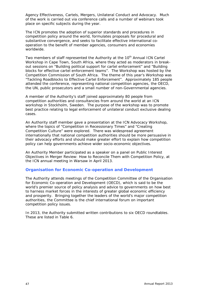Agency Effectiveness, Cartels, Mergers, Unilateral Conduct and Advocacy. Much of the work is carried out via conference calls and a number of webinars took place on specific subjects during the year.

The ICN promotes the adoption of superior standards and procedures in competition policy around the world, formulates proposals for procedural and substantive convergence, and seeks to facilitate effective international cooperation to the benefit of member agencies, consumers and economies worldwide.

Two members of staff represented the Authority at the 10<sup>th</sup> Annual ICN Cartel Workshop in Cape Town, South Africa, where they acted as moderators in breakout sessions on "Building political support for cartel enforcement" and "Building blocks for effective cartel enforcement teams". The Workshop was hosted by the Competition Commission of South Africa. The theme of this year's Workshop was "Tackling Roadblocks to Effective Cartel Enforcement". Approximately 185 people attended the conference, representing national competition agencies, the OECD, the UN, public prosecutors and a small number of non-Governmental agencies.

A member of the Authority's staff joined approximately 80 people from competition authorities and consultancies from around the world at an ICN workshop in Stockholm, Sweden. The purpose of the workshop was to promote best practice relating to legal enforcement of unilateral conduct exclusive dealing cases.

An Authority staff member gave a presentation at the ICN Advocacy Workshop, where the topics of "Competition in Recessionary Times" and "Creating Competition Culture" were explored. There was widespread agreement internationally that national competition authorities should be more persuasive in their advocacy efforts and should make greater effort to explain how competition policy can help governments achieve wider socio-economic objectives.

An Authority Member participated as a speaker on a panel on Public Interest Objectives in Merger Review: How to Reconcile Them with Competition Policy, at the ICN annual meeting in Warsaw in April 2013.

# **Organisation for Economic Co-operation and Development**

The Authority attends meetings of the Competition Committee of the Organisation for Economic Co-operation and Development (OECD), which is said to be the world's premier source of policy analysis and advice to governments on how best to harness market forces in the interests of greater global economic efficiency and prosperity. Bringing together the leaders of the world's major competition authorities, the Committee is the chief international forum on important competition policy issues.

In 2013, the Authority submitted written contributions to six OECD roundtables. These are listed in Table 6.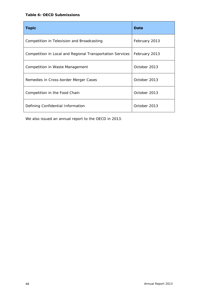## **Table 6: OECD Submissions**

| <b>Topic</b>                                              | Date          |
|-----------------------------------------------------------|---------------|
| Competition in Television and Broadcasting                | February 2013 |
| Competition in Local and Regional Transportation Services | February 2013 |
| Competition in Waste Management                           | October 2013  |
| Remedies in Cross-border Merger Cases                     | October 2013  |
| Competition in the Food Chain                             | October 2013  |
| Defining Confidential Information                         | October 2013  |

We also issued an annual report to the OECD in 2013.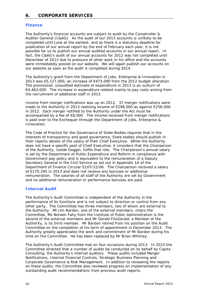# **6. CORPORATE SERVICES**

# **Finance**

The Authority's financial accounts are subject to audit by the Comptroller & Auditor General (C&AG). As the audit of our 2013 accounts is unlikely to be completed until June at the earliest, and as there is a statutory deadline for publication of our annual report by the end of February each year, it is not possible for us to publish our annual audited accounts in our annual report. In fact, the C&AG's audit of our annual accounts for 2012 was not completed until December of 2013 due to pressure of other work in his office and the accounts were immediately posted on our website. We will again publish our accounts on our website as soon as the audit is completed during 2014.

The Authority's grant from the Department of Jobs, Enterprise & Innovation in 2013 was €5,127,000, an increase of €473,000 from the 2012 budget allocation. The provisional, unaudited estimate of expenditure in 2013 is an outturn of €4,463,000. The increase in expenditure related mainly to pay costs arising from the recruitment of additional staff in 2013.

Income from merger notifications was up on 2012. 37 merger notifications were made to the Authority in 2013 realising income of €296,000 as against €256,000 in 2012. Each merger notified to the Authority under the Act must be accompanied by a fee of €8,000. The income received from merger notifications is paid over to the Exchequer through the Department of Jobs, Enterprise & Innovation.

The Code of Practice for the Governance of State Bodies requires that in the interests of transparency and good governance, State bodies should publish in their reports details of the salary of their Chief Executive. While the Authority does not have a specific post of Chief Executive, it considers that the Chairperson of the Authority, Isolde Goggin, fulfils that role. The Chairperson's annual salary is set by the Department of Public Expenditure and Reform in compliance with Government pay policy and is equivalent to the remuneration of a Deputy Secretary General in the Civil Service as set out in Appendix 1A of the Department of Finance Circular E107/22/06. The Chairperson received a salary of €170,345 in 2013 and does not receive any bonuses or additional remuneration. The salaries of all staff of the Authority are set by Government and no additional remuneration or performance bonuses are paid.

# **Internal Audit**

The Authority's Audit Committee is independent of the Authority in the performance of its functions and is not subject to direction or control from any other party. The Committee has three members, two of whom are external to the Authority. Mr Jim Bardon, one of the external members, chairs the Committee, Ms Noreen Fahy from the Institute of Public Administration is the second of the external members and Mr Gerald FitzGerald, a Member of the Authority, is its third member. Mr Bardon retired from his position on the Audit Committee on the completion of his term of appointment in December 2013. The Authority greatly appreciates the work and commitment of Mr Bardon during his time on the Committee. He has been replaced by Mr Brian Whitney.

The Authority's Audit Committee met on four occasions during 2013. In 2013 the Committee directed that a number of audits be conducted on its behalf by Capita Consulting, the Authority's internal auditors. These audits included Merger Notifications, Internal Financial Controls, Strategic Business Planning and Corporate Governance & Risk Management. In addition to reviewing the reports on these audits, the Committee also reviewed progress on implementation of any outstanding audit recommendations from previous audit reports.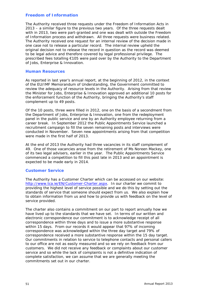# **Freedom of Information**

The Authority received three requests under the Freedom of Information Acts in 2013 – a similar figure to the previous two years. Of the three requests dealt with in 2013, two were part-granted and one was dealt with outside the Freedom of Information process and withdrawn. All three requests were business related. The Authority received one request for an internal review of the decision made in one case not to release a particular record. The internal review upheld the original decision not to release the record in question as the record was deemed to be legal advice and therefore covered by legal professional privilege. The prescribed fees totalling €105 were paid over by the Authority to the Department of Jobs, Enterprise & Innovation.

#### **Human Resources**

As reported in last year's annual report, at the beginning of 2012, in the context of the EU/IMF Memorandum of Understanding, the Government committed to review the adequacy of resource levels in the Authority. Arising from that review the Minister for Jobs, Enterprise & Innovation approved an additional 10 posts for the enforcement function of the Authority, bringing the Authority's staff complement up to 49 posts.

Of the 10 posts, three were filled in 2012, one on the basis of a secondment from the Department of Jobs, Enterprise & Innovation, one from the redeployment panel in the public service and one by an Authority employee returning from a career break. In September 2012 the Public Appointments Service launched a recruitment campaign to fill the seven remaining posts and interviews were conducted in November. Seven new appointments arising from that competition were made in the first half of 2013.

At the end of 2013 the Authority had three vacancies in its staff complement of 49. One of those vacancies arose from the retirement of Ms Noreen Mackey, one of its two legal advisers, earlier in the year. The Public Appointments Service commenced a competition to fill this post late in 2013 and an appointment is expected to be made early in 2014.

# **Customer Service**

The Authority has a Customer Charter which can be accessed on our website: http://www.tca.ie/EN/Customer-Charter.aspx. In our charter we commit to providing the highest level of service possible and we do this by setting out the standards of service that someone should expect from us. We also explain how to obtain information from us and how to provide us with feedback on the level of service provided.

The charter also contains a commitment on our part to report annually how we have lived up to the standards that we have set. In terms of our written and electronic correspondence our commitment is to acknowledge receipt of all correspondence within three days and to issue a more substantive response within 15 days. From our records it would appear that 97% of incoming correspondence was acknowledged within the three day target and 79% of correspondence received a more substantive response within the 15 day target. Our commitments in relation to service to telephone contacts and personal callers to our office are not as easily measured and so we rely on feedback from our customers. We did not receive any feedback or complaints about our customer service and so while the lack of complaints is not a definitive indication of complete satisfaction, we can assume that we are generally meeting the commitments set out in our charter.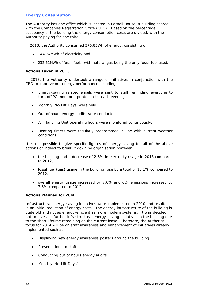# **Energy Consumption**

The Authority has one office which is located in Parnell House, a building shared with the Companies Registration Office (CRO). Based on the percentage occupancy of the building the energy consumption costs are divided, with the Authority paying for one third.

ln 2013, the Authority consumed 376.85Wh of energy, consisting of:

- 144.24MWh of electricity and
- 232.61MWh of fossil fuels, with natural gas being the only fossil fuel used.

#### **Actions Taken in 2013**

ln 2013, the Authority undertook a range of initiatives in conjunction with the CRO to improve our energy performance including:

- Energy-saving related emails were sent to staff reminding everyone to turn off PC monitors, printers, etc. each evening.
- Monthly 'No-Lift Days' were held.
- Out of hours energy audits were conducted.
- Air Handling Unit operating hours were monitored continuously.
- Heating timers were regularly programmed in line with current weather conditions.

It is not possible to give specific figures of energy saving for all of the above actions or indeed to break it down by organisation however

- the building had a decrease of 2.6% in electricity usage in 2013 compared to 2012,
- fossil fuel (gas) usage in the building rose by a total of 15.1% compared to 2012.
- overall energy usage increased by 7.6% and  $CO<sub>2</sub>$  emissions increased by 7.6% compared to 2012.

#### **Actions Planned for 20l4**

Infrastructural energy-saving initiatives were implemented in 2010 and resulted in an initial reduction of energy costs. The energy infrastructure of the building is quite old and not as energy-efficient as more modern systems. It was decided not to invest in further infrastructural energy-saving initiatives in the building due to the short lifetime remaining on the current lease. Therefore, the Authority focus for 2014 will be on staff awareness and enhancement of initiatives already implemented such as:

- Displaying new energy awareness posters around the building.
- Presentations to staff.
- Conducting out of hours energy audits.
- Monthly 'No-Lift Days'.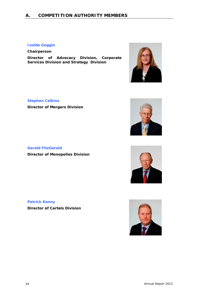# **Isolde Goggin**

**Chairperson** 

**Director of Advocacy Division, Corporate Services Division and Strategy Division**



# **Stephen Calkins**

**Director of Mergers Division** 



**Gerald FitzGerald Director of Monopolies Division**



# **Patrick Kenny**

**Director of Cartels Division**

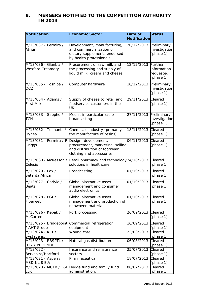# **B. MERGERS NOTIFIED TO THE COMPETITION AUTHORITY IN 2013**

| Notification                                          | <b>Economic Sector</b>                                                                                             | Date of            | <b>Status</b>                             |
|-------------------------------------------------------|--------------------------------------------------------------------------------------------------------------------|--------------------|-------------------------------------------|
|                                                       |                                                                                                                    | Notification       |                                           |
| M/13/037 - Permira /<br>Atrium                        | Development, manufacturing,<br>and commercialisation of<br>dietary supplements endorsed<br>by health professionals | 20/12/2013         | Preliminary<br>investigation<br>(phase 1) |
| M/13/036 - Glanbia /<br><b>Wexford Creamery</b>       | Procurement of raw milk and<br>the processing and supply of<br>liquid milk, cream and cheese                       | 12/12/2013 Further | information<br>requested<br>(phase 1)     |
| M/13/035 - Toshiba /<br><b>OCZ</b>                    | Computer hardware                                                                                                  | 10/12/2013         | Preliminary<br>investigation<br>(phase 1) |
| M/13/034 - Adams /<br><b>First Milk</b>               | Supply of cheese to retail and<br>foodservice customers in the<br>UK                                               | 29/11/2013         | Cleared<br>(phase 1)                      |
| M/13/033 - Sappho /<br>ТСН                            | Media, in particular radio<br>broadcasting                                                                         | 27/11/2013         | Preliminary<br>investigation<br>(phase 1) |
| M/13/032 - Tennants /<br>Dynea                        | Chemicals industry (primarily<br>the manufacture of resins)                                                        | 18/11/2013         | Cleared<br>(phase 1)                      |
| M/13/031 - Permira / R Design, development,<br>Griggs | procurement, marketing, selling<br>and distribution of footwear,<br>clothing and accessories                       | 06/11/2013         | Cleared<br>(phase 1)                      |
| M/13/030 - McKesson /<br>Celesio                      | Retail pharmacy and technology 24/10/2013<br>solutions in healthcare                                               |                    | Cleared<br>(phase 1)                      |
| M/13/029 - Fox /<br>Setanta Africa                    | Broadcasting                                                                                                       | 07/10/2013         | Cleared<br>(phase 1)                      |
| M/13/027 - Carlyle /<br>Beats                         | Global alternative asset<br>management and consumer<br>audio electronics                                           | 01/10/2013         | Cleared<br>(phase 1)                      |
| M/13/028 - PGI /<br>Fiberweb                          | Global alternative asset<br>management and production of<br>nonwoven material                                      | 01/10/2013         | Cleared<br>(phase 1)                      |
| M/13/026 - Kepak /<br>McCarren                        | Pork processing                                                                                                    | 26/09/2013         | Cleared<br>(phase 1)                      |
| / AHT Group                                           | M/13/025 - Bridgepoint Commercial refrigeration<br>equipment                                                       | 16/09/2013         | Cleared<br>(phase 1)                      |
| M/13/024 - KCI /                                      | Wound care                                                                                                         | 23/08/2013         | Cleared                                   |
| Systagenix<br>M/13/023 - RBSPTL /<br>UTA / PHOENIX    | Natural gas distribution                                                                                           | 06/08/2013         | (phase 1)<br>Cleared<br>(phase 1)         |
| M/13/022 -<br>Berkshire/Hartford                      | Insurance and reinsurance                                                                                          | 25/07/2013         | Cleared                                   |
| M/13/021 - Aspen /<br>MSD NL 8 B.V.                   | sectors<br>Pharmaceutical                                                                                          | 18/07/2013         | (phase 1)<br>Cleared<br>(phase 1)         |
| Lux                                                   | M/13/020 - MUTB / FGL Hedge fund and family fund<br>administration.                                                | 08/07/2013         | Cleared<br>(phase 1)                      |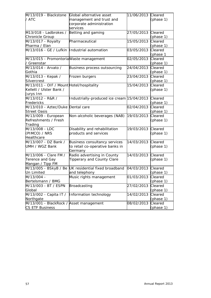| / ATC<br>(phase 1)<br>management and trust and<br>corporate administration<br>services<br>27/05/2013<br>Betting and gaming<br>Cleared<br>(phase 1)<br>Pharmaceutical<br>15/05/2013<br>Cleared<br>(phase 1)<br>M/13/016 - GE / Lufkin  Industrial automation<br>03/05/2013<br>Cleared<br>(phase 1<br>M/13/015 - Promontoria Waste management<br>02/05/2013<br>Cleared<br>/ Greenstar<br>(phase 1)<br>M/13/014 - Arvato /<br>Business process outsourcing<br>24/04/2013<br>Cleared<br>Gothia<br>(phase 1)<br>M/13/013 - Kepak /<br>23/04/2013<br>Cleared<br>Frozen burgers<br>Silvercrest<br>(phase 1)<br>M/13/011 - OIF / Mount Hotel/hospitality<br>15/04/2013<br>Cleared<br>Kellett / Ulster Bank /<br>(phase 1)<br>Jurys Inn<br>M/13/012 - R&R /<br>Industrially-produced ice cream 15/04/2013<br>Cleared<br>Fredericks<br>(phase 1)<br>M/13/010 - Aztec/Duke Dental care<br>02/04/2013<br>Cleared<br><b>Street Oasis</b><br>(phase 1)<br>19/03/2013<br>M/13/009 - European<br>Cleared<br>Non-alcoholic beverages (NAB)<br>Refreshments / Fresh<br>(phase 1)<br>Trading<br>M/13/008 - LDC<br>Disability and rehabilitation<br>19/03/2013<br>Cleared<br>products and services<br>(PIMCO) / NRS<br>(phase 1)<br>Healthcare<br>14/03/2013<br>M/13/007 - DZ Bank /<br>Cleared<br>Business consultancy services<br>to retail co-operative banks in<br>(phase 1)<br>UMH / WGZ Bank<br>Germany<br>Radio advertising in County<br>14/03/2013<br>Cleared<br>Tipperary and County Clare<br>(phase 1)<br>Mangan / Tipp FM<br>M/13/005 - BSkyB / Be UK residential fixed broadband<br>04/03/2013<br>Cleared<br>and telephony<br>(phase 1)<br>01/03/2013<br>Cleared<br>Music rights management<br>(phase 1)<br>Cleared<br>Broadcasting<br>27/02/2013<br>(phase 1)<br>M/13/002 - Capita IT /<br>Information technology<br>Cleared<br>14/02/2013<br>(phase 1)<br>M/13/001 - BlackRock / Asset management<br>Cleared<br>08/02/2013 |                        |                          |            |           |
|----------------------------------------------------------------------------------------------------------------------------------------------------------------------------------------------------------------------------------------------------------------------------------------------------------------------------------------------------------------------------------------------------------------------------------------------------------------------------------------------------------------------------------------------------------------------------------------------------------------------------------------------------------------------------------------------------------------------------------------------------------------------------------------------------------------------------------------------------------------------------------------------------------------------------------------------------------------------------------------------------------------------------------------------------------------------------------------------------------------------------------------------------------------------------------------------------------------------------------------------------------------------------------------------------------------------------------------------------------------------------------------------------------------------------------------------------------------------------------------------------------------------------------------------------------------------------------------------------------------------------------------------------------------------------------------------------------------------------------------------------------------------------------------------------------------------------------------------------------------------------------------------------------------------|------------------------|--------------------------|------------|-----------|
|                                                                                                                                                                                                                                                                                                                                                                                                                                                                                                                                                                                                                                                                                                                                                                                                                                                                                                                                                                                                                                                                                                                                                                                                                                                                                                                                                                                                                                                                                                                                                                                                                                                                                                                                                                                                                                                                                                                      | M/13/019 - Blackstone  | Global alternative asset | 11/06/2013 | Cleared   |
|                                                                                                                                                                                                                                                                                                                                                                                                                                                                                                                                                                                                                                                                                                                                                                                                                                                                                                                                                                                                                                                                                                                                                                                                                                                                                                                                                                                                                                                                                                                                                                                                                                                                                                                                                                                                                                                                                                                      |                        |                          |            |           |
|                                                                                                                                                                                                                                                                                                                                                                                                                                                                                                                                                                                                                                                                                                                                                                                                                                                                                                                                                                                                                                                                                                                                                                                                                                                                                                                                                                                                                                                                                                                                                                                                                                                                                                                                                                                                                                                                                                                      |                        |                          |            |           |
|                                                                                                                                                                                                                                                                                                                                                                                                                                                                                                                                                                                                                                                                                                                                                                                                                                                                                                                                                                                                                                                                                                                                                                                                                                                                                                                                                                                                                                                                                                                                                                                                                                                                                                                                                                                                                                                                                                                      |                        |                          |            |           |
|                                                                                                                                                                                                                                                                                                                                                                                                                                                                                                                                                                                                                                                                                                                                                                                                                                                                                                                                                                                                                                                                                                                                                                                                                                                                                                                                                                                                                                                                                                                                                                                                                                                                                                                                                                                                                                                                                                                      | M13/018 - Ladbrokes /  |                          |            |           |
|                                                                                                                                                                                                                                                                                                                                                                                                                                                                                                                                                                                                                                                                                                                                                                                                                                                                                                                                                                                                                                                                                                                                                                                                                                                                                                                                                                                                                                                                                                                                                                                                                                                                                                                                                                                                                                                                                                                      | Chronicle Group        |                          |            |           |
|                                                                                                                                                                                                                                                                                                                                                                                                                                                                                                                                                                                                                                                                                                                                                                                                                                                                                                                                                                                                                                                                                                                                                                                                                                                                                                                                                                                                                                                                                                                                                                                                                                                                                                                                                                                                                                                                                                                      | M/13/017 - Royalty     |                          |            |           |
|                                                                                                                                                                                                                                                                                                                                                                                                                                                                                                                                                                                                                                                                                                                                                                                                                                                                                                                                                                                                                                                                                                                                                                                                                                                                                                                                                                                                                                                                                                                                                                                                                                                                                                                                                                                                                                                                                                                      | Pharma / Elan          |                          |            |           |
|                                                                                                                                                                                                                                                                                                                                                                                                                                                                                                                                                                                                                                                                                                                                                                                                                                                                                                                                                                                                                                                                                                                                                                                                                                                                                                                                                                                                                                                                                                                                                                                                                                                                                                                                                                                                                                                                                                                      |                        |                          |            |           |
|                                                                                                                                                                                                                                                                                                                                                                                                                                                                                                                                                                                                                                                                                                                                                                                                                                                                                                                                                                                                                                                                                                                                                                                                                                                                                                                                                                                                                                                                                                                                                                                                                                                                                                                                                                                                                                                                                                                      |                        |                          |            |           |
|                                                                                                                                                                                                                                                                                                                                                                                                                                                                                                                                                                                                                                                                                                                                                                                                                                                                                                                                                                                                                                                                                                                                                                                                                                                                                                                                                                                                                                                                                                                                                                                                                                                                                                                                                                                                                                                                                                                      |                        |                          |            |           |
|                                                                                                                                                                                                                                                                                                                                                                                                                                                                                                                                                                                                                                                                                                                                                                                                                                                                                                                                                                                                                                                                                                                                                                                                                                                                                                                                                                                                                                                                                                                                                                                                                                                                                                                                                                                                                                                                                                                      |                        |                          |            |           |
|                                                                                                                                                                                                                                                                                                                                                                                                                                                                                                                                                                                                                                                                                                                                                                                                                                                                                                                                                                                                                                                                                                                                                                                                                                                                                                                                                                                                                                                                                                                                                                                                                                                                                                                                                                                                                                                                                                                      |                        |                          |            |           |
|                                                                                                                                                                                                                                                                                                                                                                                                                                                                                                                                                                                                                                                                                                                                                                                                                                                                                                                                                                                                                                                                                                                                                                                                                                                                                                                                                                                                                                                                                                                                                                                                                                                                                                                                                                                                                                                                                                                      |                        |                          |            |           |
|                                                                                                                                                                                                                                                                                                                                                                                                                                                                                                                                                                                                                                                                                                                                                                                                                                                                                                                                                                                                                                                                                                                                                                                                                                                                                                                                                                                                                                                                                                                                                                                                                                                                                                                                                                                                                                                                                                                      |                        |                          |            |           |
|                                                                                                                                                                                                                                                                                                                                                                                                                                                                                                                                                                                                                                                                                                                                                                                                                                                                                                                                                                                                                                                                                                                                                                                                                                                                                                                                                                                                                                                                                                                                                                                                                                                                                                                                                                                                                                                                                                                      |                        |                          |            |           |
|                                                                                                                                                                                                                                                                                                                                                                                                                                                                                                                                                                                                                                                                                                                                                                                                                                                                                                                                                                                                                                                                                                                                                                                                                                                                                                                                                                                                                                                                                                                                                                                                                                                                                                                                                                                                                                                                                                                      |                        |                          |            |           |
|                                                                                                                                                                                                                                                                                                                                                                                                                                                                                                                                                                                                                                                                                                                                                                                                                                                                                                                                                                                                                                                                                                                                                                                                                                                                                                                                                                                                                                                                                                                                                                                                                                                                                                                                                                                                                                                                                                                      |                        |                          |            |           |
|                                                                                                                                                                                                                                                                                                                                                                                                                                                                                                                                                                                                                                                                                                                                                                                                                                                                                                                                                                                                                                                                                                                                                                                                                                                                                                                                                                                                                                                                                                                                                                                                                                                                                                                                                                                                                                                                                                                      |                        |                          |            |           |
|                                                                                                                                                                                                                                                                                                                                                                                                                                                                                                                                                                                                                                                                                                                                                                                                                                                                                                                                                                                                                                                                                                                                                                                                                                                                                                                                                                                                                                                                                                                                                                                                                                                                                                                                                                                                                                                                                                                      |                        |                          |            |           |
|                                                                                                                                                                                                                                                                                                                                                                                                                                                                                                                                                                                                                                                                                                                                                                                                                                                                                                                                                                                                                                                                                                                                                                                                                                                                                                                                                                                                                                                                                                                                                                                                                                                                                                                                                                                                                                                                                                                      |                        |                          |            |           |
|                                                                                                                                                                                                                                                                                                                                                                                                                                                                                                                                                                                                                                                                                                                                                                                                                                                                                                                                                                                                                                                                                                                                                                                                                                                                                                                                                                                                                                                                                                                                                                                                                                                                                                                                                                                                                                                                                                                      |                        |                          |            |           |
|                                                                                                                                                                                                                                                                                                                                                                                                                                                                                                                                                                                                                                                                                                                                                                                                                                                                                                                                                                                                                                                                                                                                                                                                                                                                                                                                                                                                                                                                                                                                                                                                                                                                                                                                                                                                                                                                                                                      |                        |                          |            |           |
|                                                                                                                                                                                                                                                                                                                                                                                                                                                                                                                                                                                                                                                                                                                                                                                                                                                                                                                                                                                                                                                                                                                                                                                                                                                                                                                                                                                                                                                                                                                                                                                                                                                                                                                                                                                                                                                                                                                      |                        |                          |            |           |
|                                                                                                                                                                                                                                                                                                                                                                                                                                                                                                                                                                                                                                                                                                                                                                                                                                                                                                                                                                                                                                                                                                                                                                                                                                                                                                                                                                                                                                                                                                                                                                                                                                                                                                                                                                                                                                                                                                                      |                        |                          |            |           |
|                                                                                                                                                                                                                                                                                                                                                                                                                                                                                                                                                                                                                                                                                                                                                                                                                                                                                                                                                                                                                                                                                                                                                                                                                                                                                                                                                                                                                                                                                                                                                                                                                                                                                                                                                                                                                                                                                                                      |                        |                          |            |           |
|                                                                                                                                                                                                                                                                                                                                                                                                                                                                                                                                                                                                                                                                                                                                                                                                                                                                                                                                                                                                                                                                                                                                                                                                                                                                                                                                                                                                                                                                                                                                                                                                                                                                                                                                                                                                                                                                                                                      |                        |                          |            |           |
|                                                                                                                                                                                                                                                                                                                                                                                                                                                                                                                                                                                                                                                                                                                                                                                                                                                                                                                                                                                                                                                                                                                                                                                                                                                                                                                                                                                                                                                                                                                                                                                                                                                                                                                                                                                                                                                                                                                      |                        |                          |            |           |
|                                                                                                                                                                                                                                                                                                                                                                                                                                                                                                                                                                                                                                                                                                                                                                                                                                                                                                                                                                                                                                                                                                                                                                                                                                                                                                                                                                                                                                                                                                                                                                                                                                                                                                                                                                                                                                                                                                                      |                        |                          |            |           |
|                                                                                                                                                                                                                                                                                                                                                                                                                                                                                                                                                                                                                                                                                                                                                                                                                                                                                                                                                                                                                                                                                                                                                                                                                                                                                                                                                                                                                                                                                                                                                                                                                                                                                                                                                                                                                                                                                                                      |                        |                          |            |           |
|                                                                                                                                                                                                                                                                                                                                                                                                                                                                                                                                                                                                                                                                                                                                                                                                                                                                                                                                                                                                                                                                                                                                                                                                                                                                                                                                                                                                                                                                                                                                                                                                                                                                                                                                                                                                                                                                                                                      |                        |                          |            |           |
|                                                                                                                                                                                                                                                                                                                                                                                                                                                                                                                                                                                                                                                                                                                                                                                                                                                                                                                                                                                                                                                                                                                                                                                                                                                                                                                                                                                                                                                                                                                                                                                                                                                                                                                                                                                                                                                                                                                      |                        |                          |            |           |
|                                                                                                                                                                                                                                                                                                                                                                                                                                                                                                                                                                                                                                                                                                                                                                                                                                                                                                                                                                                                                                                                                                                                                                                                                                                                                                                                                                                                                                                                                                                                                                                                                                                                                                                                                                                                                                                                                                                      | M/13/006 - Clare FM /  |                          |            |           |
|                                                                                                                                                                                                                                                                                                                                                                                                                                                                                                                                                                                                                                                                                                                                                                                                                                                                                                                                                                                                                                                                                                                                                                                                                                                                                                                                                                                                                                                                                                                                                                                                                                                                                                                                                                                                                                                                                                                      | Terence and Gay        |                          |            |           |
|                                                                                                                                                                                                                                                                                                                                                                                                                                                                                                                                                                                                                                                                                                                                                                                                                                                                                                                                                                                                                                                                                                                                                                                                                                                                                                                                                                                                                                                                                                                                                                                                                                                                                                                                                                                                                                                                                                                      |                        |                          |            |           |
|                                                                                                                                                                                                                                                                                                                                                                                                                                                                                                                                                                                                                                                                                                                                                                                                                                                                                                                                                                                                                                                                                                                                                                                                                                                                                                                                                                                                                                                                                                                                                                                                                                                                                                                                                                                                                                                                                                                      |                        |                          |            |           |
|                                                                                                                                                                                                                                                                                                                                                                                                                                                                                                                                                                                                                                                                                                                                                                                                                                                                                                                                                                                                                                                                                                                                                                                                                                                                                                                                                                                                                                                                                                                                                                                                                                                                                                                                                                                                                                                                                                                      | Un Limited             |                          |            |           |
|                                                                                                                                                                                                                                                                                                                                                                                                                                                                                                                                                                                                                                                                                                                                                                                                                                                                                                                                                                                                                                                                                                                                                                                                                                                                                                                                                                                                                                                                                                                                                                                                                                                                                                                                                                                                                                                                                                                      | M/13/004 -             |                          |            |           |
|                                                                                                                                                                                                                                                                                                                                                                                                                                                                                                                                                                                                                                                                                                                                                                                                                                                                                                                                                                                                                                                                                                                                                                                                                                                                                                                                                                                                                                                                                                                                                                                                                                                                                                                                                                                                                                                                                                                      | Bertelsmann / BMG      |                          |            |           |
|                                                                                                                                                                                                                                                                                                                                                                                                                                                                                                                                                                                                                                                                                                                                                                                                                                                                                                                                                                                                                                                                                                                                                                                                                                                                                                                                                                                                                                                                                                                                                                                                                                                                                                                                                                                                                                                                                                                      | M/13/003 - BT / ESPN   |                          |            |           |
|                                                                                                                                                                                                                                                                                                                                                                                                                                                                                                                                                                                                                                                                                                                                                                                                                                                                                                                                                                                                                                                                                                                                                                                                                                                                                                                                                                                                                                                                                                                                                                                                                                                                                                                                                                                                                                                                                                                      | Global                 |                          |            |           |
|                                                                                                                                                                                                                                                                                                                                                                                                                                                                                                                                                                                                                                                                                                                                                                                                                                                                                                                                                                                                                                                                                                                                                                                                                                                                                                                                                                                                                                                                                                                                                                                                                                                                                                                                                                                                                                                                                                                      |                        |                          |            |           |
|                                                                                                                                                                                                                                                                                                                                                                                                                                                                                                                                                                                                                                                                                                                                                                                                                                                                                                                                                                                                                                                                                                                                                                                                                                                                                                                                                                                                                                                                                                                                                                                                                                                                                                                                                                                                                                                                                                                      | Northgate              |                          |            |           |
|                                                                                                                                                                                                                                                                                                                                                                                                                                                                                                                                                                                                                                                                                                                                                                                                                                                                                                                                                                                                                                                                                                                                                                                                                                                                                                                                                                                                                                                                                                                                                                                                                                                                                                                                                                                                                                                                                                                      |                        |                          |            |           |
|                                                                                                                                                                                                                                                                                                                                                                                                                                                                                                                                                                                                                                                                                                                                                                                                                                                                                                                                                                                                                                                                                                                                                                                                                                                                                                                                                                                                                                                                                                                                                                                                                                                                                                                                                                                                                                                                                                                      | <b>CS ETF Business</b> |                          |            | (phase 1) |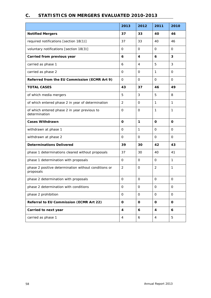# **C. STATISTICS ON MERGERS EVALUATED 2010-2013**

|                                                                   | 2013           | 2012         | 2011                    | 2010         |
|-------------------------------------------------------------------|----------------|--------------|-------------------------|--------------|
| <b>Notified Mergers</b>                                           | 37             | 33           | 40                      | 46           |
| required notifications [section 18(1)]                            | 37             | 33           | 40                      | 46           |
| voluntary notifications [section 18(3)]                           | 0              | $\mathbf 0$  | $\mathbf 0$             | 0            |
| Carried from previous year                                        | 6              | 4            | 6                       | 3            |
| carried as phase 1                                                | 6              | 4            | 5                       | 3            |
| carried as phase 2                                                | $\Omega$       | 0            | $\mathbf{1}$            | $\Omega$     |
| Referred from the EU Commission (ECMR Art 9)                      | $\mathbf{O}$   | 0            | $\mathbf 0$             | $\mathbf 0$  |
| <b>TOTAL CASES</b>                                                | 43             | 37           | 46                      | 49           |
| of which media mergers                                            | 5              | 3            | 5                       | 8            |
| of which entered phase 2 in year of determination                 | 2              | $\Omega$     | $\mathbf{1}$            | $\mathbf{1}$ |
| of which entered phase 2 in year previous to<br>determination     | 0              | $\Omega$     | $\mathbf{1}$            | $\mathbf{1}$ |
| <b>Cases Withdrawn</b>                                            | 0              | 1            | O                       | 0            |
| withdrawn at phase 1                                              | $\mathbf{O}$   | 1            | $\mathbf 0$             | $\mathbf 0$  |
| withdrawn at phase 2                                              | 0              | 0            | 0                       | 0            |
| <b>Determinations Delivered</b>                                   | 39             | 30           | 42                      | 43           |
| phase 1 determinations cleared without proposals                  | 37             | 30           | 40                      | 41           |
| phase 1 determination with proposals                              | $\Omega$       | 0            | $\Omega$                | $\mathbf{1}$ |
| phase 2 positive determination without conditions or<br>proposals | $\overline{2}$ | $\mathbf{O}$ | 2                       | $\mathbf{1}$ |
| phase 2 determination with proposals                              | $\mathbf{O}$   | $\mathbf 0$  | $\mbox{O}$              | 0            |
| phase 2 determination with conditions                             | $\mathbf{O}$   | $\mathsf{O}$ | $\mathsf{O}$            | $\mathbf 0$  |
| phase 2 prohibition                                               | $\mathbf 0$    | $\mathbf 0$  | $\mathbf 0$             | $\mathbf 0$  |
| Referral to EU Commission (ECMR Art 22)                           | $\mathbf 0$    | $\mathbf 0$  | $\mathbf 0$             | $\mathbf 0$  |
| Carried to next year                                              | 4              | 6            | $\overline{\mathbf{4}}$ | 6            |
| carried as phase 1                                                | 4              | 6            | 4                       | 5            |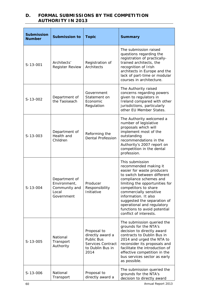# **D. FORMAL SUBMISSIONS BY THE COMPETITION AUTHORITY IN 2013**

| <b>Submission</b><br><b>Number</b> | <b>Submission to</b>                                                  | <b>Topic</b>                                                                                   | <b>Summary</b>                                                                                                                                                                                                                                                                                                                                                     |
|------------------------------------|-----------------------------------------------------------------------|------------------------------------------------------------------------------------------------|--------------------------------------------------------------------------------------------------------------------------------------------------------------------------------------------------------------------------------------------------------------------------------------------------------------------------------------------------------------------|
| S-13-001                           | Architects'<br><b>Register Review</b>                                 | Registration of<br>Architects                                                                  | The submission raised<br>questions regarding the<br>registration of practically-<br>trained architects, the<br>recognition of Irish<br>architects in Europe and the<br>lack of part-time or modular<br>courses in architecture.                                                                                                                                    |
| S-13-002                           | Department of<br>the Taoiseach                                        | Government<br>Statement on<br>Economic<br>Regulation                                           | The Authority raised<br>concerns regarding powers<br>given to regulators in<br>Ireland compared with other<br>jurisdictions, particularly<br>other EU Member States.                                                                                                                                                                                               |
| S-13-003                           | Department of<br>Health and<br>Children                               | Reforming the<br><b>Dental Profession</b>                                                      | The Authority welcomed a<br>number of legislative<br>proposals which will<br>implement most of the<br>outstanding<br>recommendations in the<br>Authority's 2007 report on<br>competition in the dental<br>profession.                                                                                                                                              |
| S-13-004                           | Department of<br>Environment,<br>Community and<br>Local<br>Government | Producer<br>Responsibility<br>Initiative                                                       | This submission<br>recommended making it<br>easier for waste producers<br>to switch between different<br>compliance schemes and<br>limiting the opportunities for<br>competitors to share<br>commercially sensitive<br>information. It also<br>suggested the separation of<br>operational and regulatory<br>functions to avoid potential<br>conflict of interests. |
| $S-13-005$                         | National<br>Transport<br>Authority                                    | Proposal to<br>directly award a<br>Public Bus<br>Services Contract<br>to Dublin Bus in<br>2014 | The submission queried the<br>grounds for the NTA's<br>decision to directly award<br>contracts to Dublin Bus in<br>2014 and urged the NTA to<br>reconsider its proposals and<br>facilitate the introduction of<br>effective competition in the<br>bus services sector as early<br>as possible.                                                                     |
| S-13-006                           | National<br>Transport                                                 | Proposal to<br>directly award a                                                                | The submission queried the<br>grounds for the NTA's<br>decision to directly award                                                                                                                                                                                                                                                                                  |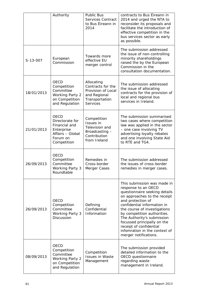|            | Authority                                                                                             | <b>Public Bus</b><br>Services Contract<br>to Bus Éireann in<br>2014                                 | contracts to Bus Éireann in<br>2014 and urged the NTA to<br>reconsider its proposals and<br>facilitate the introduction of<br>effective competition in the<br>bus services sector as early<br>as possible.                                                                                                                                                                               |
|------------|-------------------------------------------------------------------------------------------------------|-----------------------------------------------------------------------------------------------------|------------------------------------------------------------------------------------------------------------------------------------------------------------------------------------------------------------------------------------------------------------------------------------------------------------------------------------------------------------------------------------------|
| S-13-007   | European<br>Commission                                                                                | Towards more<br>effective EU<br>merger control                                                      | The submission addressed<br>the issue of non-controlling<br>minority shareholdings<br>raised the by the European<br>Commission in the<br>consultation documentation.                                                                                                                                                                                                                     |
| 18/01/2013 | OECD<br>Competition<br>Committee<br><b>Working Party 2</b><br>on Competition<br>and Regulation        | Allocating<br>Contracts for the<br>Provision of Local<br>and Regional<br>Transportation<br>Services | The submission addressed<br>the issue of allocating<br>contracts for the provision of<br>local and regional bus<br>services in Ireland.                                                                                                                                                                                                                                                  |
| 21/01/2013 | OECD<br>Directorate for<br>Financial and<br>Enterprise<br>Affairs - Global<br>Forum on<br>Competition | Competition<br><b>Issues</b> in<br>Television and<br>Broadcasting -<br>Contribution<br>from Ireland | The submission summarised<br>two cases where competition<br>law was applied in the sector<br>- one case involving TV<br>advertising loyalty rebates<br>and one involving State Aid<br>to RTÉ and TG4.                                                                                                                                                                                    |
| 26/09/2013 | <b>OECD</b><br>Competition<br>Committee<br>Working Party 3<br>Roundtable                              | Remedies in<br>Cross-border<br>Merger Cases                                                         | The submission addressed<br>the issues of cross-border<br>remedies in merger cases.                                                                                                                                                                                                                                                                                                      |
| 26/09/2013 | OECD<br>Competition<br>Committee<br><b>Working Party 3</b><br>Discussion                              | Defining<br>Confidential<br>Information                                                             | This submission was made in<br>response to an OECD<br>questionnaire seeking details<br>on approaches to the receipt<br>and protection of<br>confidential information in<br>the course of investigations<br>by competition authorities.<br>The Authority's submission<br>focussed principally on the<br>receipt of confidential<br>infomration in the context of<br>merger notifications. |
| 08/09/2013 | <b>OECD</b><br>Competition<br>Committee<br><b>Working Party 2</b><br>on Competition<br>and Regulation | Competition<br><b>Issues in Waste</b><br>Management                                                 | The submission provided<br>detailed information to the<br>OECD questionnaire<br>regarding waste<br>management in Ireland.                                                                                                                                                                                                                                                                |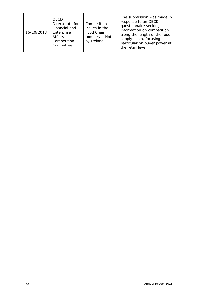| 16/10/2013 | <b>OECD</b><br>Directorate for<br>Financial and<br>Enterprise<br>Affairs -<br>Competition<br>Committee | Competition<br>Issues in the<br>Food Chain<br>Industry - Note<br>by Ireland | The submission was made in<br>response to an OECD<br>questionnaire seeking<br>information on competition<br>along the length of the food<br>supply chain, focusing in<br>particular on buyer power at<br>the retail level |
|------------|--------------------------------------------------------------------------------------------------------|-----------------------------------------------------------------------------|---------------------------------------------------------------------------------------------------------------------------------------------------------------------------------------------------------------------------|
|------------|--------------------------------------------------------------------------------------------------------|-----------------------------------------------------------------------------|---------------------------------------------------------------------------------------------------------------------------------------------------------------------------------------------------------------------------|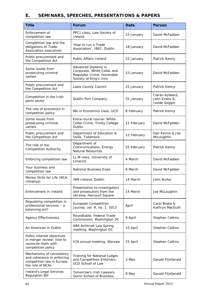# **E. SEMINARS, SPEECHES, PRESENTATIONS & PAPERS**

| <b>Title</b>                                                                                              | <b>Forum</b>                                                                                               | <b>Date</b> | <b>Person</b>                                    |
|-----------------------------------------------------------------------------------------------------------|------------------------------------------------------------------------------------------------------------|-------------|--------------------------------------------------|
| Enforcement of<br>competition law                                                                         | PPC1 class, Law Society of<br>Ireland                                                                      | 15 January  | David McFadden                                   |
| Competition law and the<br>obligations of Trade<br>Association executives                                 | 'How to run a Trade<br>Association', IBEC, Dublin                                                          | 18 January  | David McFadden                                   |
| Public procurement and<br>the Competition Act                                                             | <b>Public Affairs Ireland</b>                                                                              | 22 January  | Patrick Kenny                                    |
| Some issues from<br>prosecuting criminal<br>cartels                                                       | Advanced Diploma in<br>Corporate, White Collar and<br>Regulator Crime, Honorable<br>Society of King's Inns | 23 January  | David McFadden                                   |
| Public procurement and<br>the Competition Act                                                             | Laois County Council                                                                                       | 25 January  | Patrick Kenny                                    |
| Competition in the Irish<br>ports sector                                                                  | Dublin Port Company                                                                                        | 31 January  | Ciarán Aylward,<br>John Evans &<br>Isolde Goggin |
| The role of economics in<br>competition policy                                                            | MA in Economics class, UCD                                                                                 | 8 February  | Patrick Kenny                                    |
| Some issues from<br>prosecuting criminal<br>cartels                                                       | Extra-mural course: White<br>Collar Crime, Trinity College<br>Dublin                                       | 12 February | David McFadden                                   |
| Public procurement and<br>the Competition Act                                                             | Department of Education &<br>Skills, Tullamore                                                             | 12 February | Dan Kenna & Joe<br>McLoughlin                    |
| The role of the<br><b>Competition Authority</b>                                                           | Department of<br>Communications, Energy<br><b>Natural Resources</b>                                        | 25 February | Patrick Kenny                                    |
| Enforcing competition law                                                                                 | LL.M class, University of<br>Limerick                                                                      | 4 March     | David McFadden                                   |
| Your business and<br>competition law                                                                      | National Business Expo                                                                                     | 8 March     | David McFadden                                   |
| Money Skills for Life (NCA<br>initiative)                                                                 | IBM Ireland, Dublin                                                                                        | 14 March    | John Burke                                       |
| Enforcement in Ireland                                                                                    | Presentation to investigators<br>and prosecutors from the<br>Ukraine, Harcourt Square                      | 14 March    | Joe McLoughlin                                   |
| Regulating competition in<br>professional services - a<br>balancing act?                                  | European Competition<br>Journal, vol. 9, no. 1, 2013                                                       | April       | Carol Boate &<br>Kathryn MacGuill                |
| <b>Agency Effectiveness</b>                                                                               | Roundtable, Federal Trade<br>Commission, Washington DC                                                     | 9 April     | Stephen Calkins                                  |
| An American in Dublin                                                                                     | ABA Antitrust Law Spring<br>meeting, Washington DC                                                         | 10 April    | Stephen Calkins                                  |
| Public interest objectives<br>in merger review: how to<br>reconcile them with<br>competition policy       | ICN annual meeting, Warsaw                                                                                 | 25 April    | Stephen Calkins                                  |
| Mechanisms of consistency<br>and coherence in enforcing<br>competition law in Europe:<br>the role of NCAs | <b>Training for National Judges</b><br>and Competition Enforcers,<br><b>UCD School of Law</b>              | 3 May       | Gerald FitzGerald                                |
| Ireland's Legal Services<br><b>Regulation Bill</b>                                                        | Tomorrow's Irish Lawyers,<br>Quinn School of Business,                                                     | 8 May       | Gerald FitzGerald                                |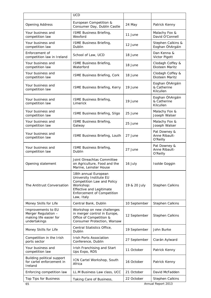|                                                                                     | <b>UCD</b>                                                                                                                                                         |              |                                             |
|-------------------------------------------------------------------------------------|--------------------------------------------------------------------------------------------------------------------------------------------------------------------|--------------|---------------------------------------------|
| <b>Opening Address</b>                                                              | European Competition &<br>Consumer Day, Dublin Castle                                                                                                              | 24 May       | Patrick Kenny                               |
| Your business and<br>competition law                                                | ISME Business Briefing,<br>Wexford                                                                                                                                 | 11 June      | Malachy Fox &<br>David O'Connell            |
| Your business and<br>competition law                                                | ISME Business Briefing,<br>Dublin                                                                                                                                  | 12 June      | Stephen Calkins &<br>Eoghan ÓhArgáin        |
| Enforcement of<br>competition law in Ireland                                        | School of Law, UCD                                                                                                                                                 | 18 June      | Dan Kenna &<br>Victor Pigott                |
| Your business and<br>competition law                                                | ISME Business Briefing,<br>Waterford                                                                                                                               | 18 June      | Clodagh Coffey &<br><b>Eksteen Maritz</b>   |
| Your business and<br>competition law                                                | ISME Business Briefing, Cork                                                                                                                                       | 18 June      | Clodagh Coffey &<br><b>Eksteen Maritz</b>   |
| Your business and<br>competition law                                                | ISME Business Briefing, Kerry                                                                                                                                      | 19 June      | Eoghan ÓhArgáin<br>& Catherine<br>Kilcullen |
| Your business and<br>competition law                                                | ISME Business Briefing,<br>Limerick                                                                                                                                | 19 June      | Eoghan ÓhArgáin<br>& Catherine<br>Kilcullen |
| Your business and<br>competition law                                                | ISME Business Briefing, Sligo                                                                                                                                      | 25 June      | Malachy Fox &<br>Joseph Walser              |
| Your business and<br>competition law                                                | ISME Business Briefing,<br>Galway                                                                                                                                  | 25 June      | Malachy Fox &<br>Joseph Walser              |
| Your business and<br>competition law                                                | ISME Business Briefing, Louth                                                                                                                                      | 27 June      | Pat Downey &<br>Anne Ribault-<br>O'Reilly   |
| Your business and<br>competition law                                                | ISME Business Briefing,<br>Dublin                                                                                                                                  | 27 June      | Pat Downey &<br>Anne Ribault-<br>O'Reilly   |
| Opening statement                                                                   | Joint Oireachtas Committee<br>on Agriculture, Food and the<br>Marine, Leinster House                                                                               | 16 July      | Isolde Goggin                               |
| The Antitrust Conversation                                                          | 18th annual European<br>University Institute EU<br>Competition Law and Policy<br>Workshop:<br>Effective and Legitimate<br>Enforcement of Competition<br>Law, Italy | 19 & 20 July | Stephen Calkins                             |
| Money Skills for Life                                                               | Central Bank, Dublin                                                                                                                                               | 10 September | Stephen Calkins                             |
| Improvements to EU<br>Merger Regulation -<br>making life easier for<br>undertakings | Workshop on new challenges<br>in merger control in Europe,<br>Office of Competition &<br>Consumer Protection, Warsaw                                               | 12 September | Stephen Calkins                             |
| Money Skills for Life                                                               | Central Statistics Office,<br>Dublin                                                                                                                               | 19 September | John Burke                                  |
| Competition in the Irish<br>ports sector                                            | Irish Ports Association<br>Conference, Dublin                                                                                                                      | 27 September | Ciarán Aylward                              |
| Your business and<br>competition law                                                | Irish Franchising and Start<br>Ups Expo, RDS                                                                                                                       | 11 October   | Patrick Kenny                               |
| Building political support<br>for cartel enforcement in<br>Ireland                  | ICN Cartel Workshop, South<br>Africa                                                                                                                               | 16 October   | Patrick Kenny                               |
| Enforcing competition law                                                           | LL.M Business Law class, UCC                                                                                                                                       | 21 October   | David McFadden                              |
| Top Tips for Business                                                               | Taking Care of Business,                                                                                                                                           | 22 October   | Stephen Calkins                             |